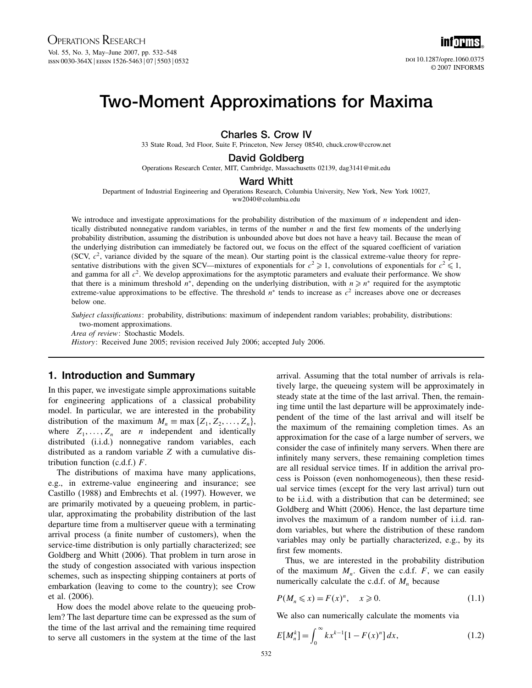in hrms DOI 10.1287/opre.1060.0375 © 2007 INFORMS

# Two-Moment Approximations for Maxima

Charles S. Crow IV

33 State Road, 3rd Floor, Suite F, Princeton, New Jersey 08540, chuck.crow@ccrow.net

#### David Goldberg

Operations Research Center, MIT, Cambridge, Massachusetts 02139, dag3141@mit.edu

#### Ward Whitt

Department of Industrial Engineering and Operations Research, Columbia University, New York, New York 10027,

ww2040@columbia.edu

We introduce and investigate approximations for the probability distribution of the maximum of  $n$  independent and identically distributed nonnegative random variables, in terms of the number  $n$  and the first few moments of the underlying probability distribution, assuming the distribution is unbounded above but does not have a heavy tail. Because the mean of the underlying distribution can immediately be factored out, we focus on the effect of the squared coefficient of variation (SCV,  $c<sup>2</sup>$ , variance divided by the square of the mean). Our starting point is the classical extreme-value theory for representative distributions with the given SCV—mixtures of exponentials for  $c^2 \geq 1$ , convolutions of exponentials for  $c^2 \leq 1$ , and gamma for all  $c<sup>2</sup>$ . We develop approximations for the asymptotic parameters and evaluate their performance. We show that there is a minimum threshold  $n^*$ , depending on the underlying distribution, with  $n \geq n^*$  required for the asymptotic extreme-value approximations to be effective. The threshold  $n^*$  tends to increase as  $c^2$  increases above one or decreases below one.

Subject classifications: probability, distributions: maximum of independent random variables; probability, distributions: two-moment approximations.

Area of review: Stochastic Models.

History: Received June 2005; revision received July 2006; accepted July 2006.

# 1. Introduction and Summary

In this paper, we investigate simple approximations suitable for engineering applications of a classical probability model. In particular, we are interested in the probability distribution of the maximum  $M_n \equiv \max\{Z_1, Z_2, \ldots, Z_n\},\$ where  $Z_1, \ldots, Z_n$  are *n* independent and identically distributed (i.i.d.) nonnegative random variables, each distributed as a random variable Z with a cumulative distribution function (c.d.f.)  $F$ .

The distributions of maxima have many applications, e.g., in extreme-value engineering and insurance; see Castillo (1988) and Embrechts et al. (1997). However, we are primarily motivated by a queueing problem, in particular, approximating the probability distribution of the last departure time from a multiserver queue with a terminating arrival process (a finite number of customers), when the service-time distribution is only partially characterized; see Goldberg and Whitt (2006). That problem in turn arose in the study of congestion associated with various inspection schemes, such as inspecting shipping containers at ports of embarkation (leaving to come to the country); see Crow et al. (2006).

How does the model above relate to the queueing problem? The last departure time can be expressed as the sum of the time of the last arrival and the remaining time required to serve all customers in the system at the time of the last

arrival. Assuming that the total number of arrivals is relatively large, the queueing system will be approximately in steady state at the time of the last arrival. Then, the remaining time until the last departure will be approximately independent of the time of the last arrival and will itself be the maximum of the remaining completion times. As an approximation for the case of a large number of servers, we consider the case of infinitely many servers. When there are infinitely many servers, these remaining completion times are all residual service times. If in addition the arrival process is Poisson (even nonhomogeneous), then these residual service times (except for the very last arrival) turn out to be i.i.d. with a distribution that can be determined; see Goldberg and Whitt (2006). Hence, the last departure time involves the maximum of a random number of i.i.d. random variables, but where the distribution of these random variables may only be partially characterized, e.g., by its first few moments.

Thus, we are interested in the probability distribution of the maximum  $M_n$ . Given the c.d.f. F, we can easily numerically calculate the c.d.f. of  $M_n$  because

$$
P(M_n \leq x) = F(x)^n, \quad x \geq 0. \tag{1.1}
$$

We also can numerically calculate the moments via

$$
E[M_n^k] = \int_0^\infty kx^{k-1} [1 - F(x)^n] dx,
$$
\n(1.2)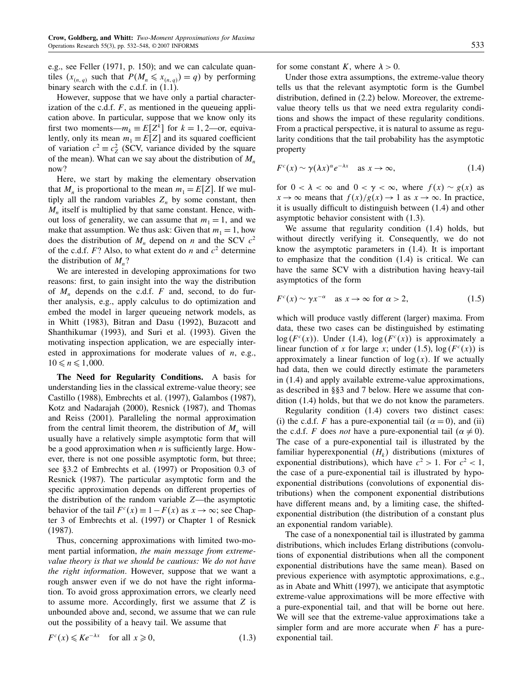e.g., see Feller (1971, p. 150); and we can calculate quantiles  $(x_{(n,q)}$  such that  $P(M_n \leq x_{(n,q)}) = q$ ) by performing binary search with the c.d.f. in  $(1.1)$ .

However, suppose that we have only a partial characterization of the c.d.f.  $F$ , as mentioned in the queueing application above. In particular, suppose that we know only its first two moments— $m_k \equiv E[Z^k]$  for  $k = 1, 2$ —or, equivalently, only its mean  $m_1 \equiv E[Z]$  and its squared coefficient of variation  $c^2 \equiv c_Z^2$  (SCV, variance divided by the square of the mean). What can we say about the distribution of  $M_n$ now?

Here, we start by making the elementary observation that  $M_n$  is proportional to the mean  $m_1 = E[Z]$ . If we multiply all the random variables  $Z_n$  by some constant, then  $M<sub>n</sub>$  itself is multiplied by that same constant. Hence, without loss of generality, we can assume that  $m_1 = 1$ , and we make that assumption. We thus ask: Given that  $m_1 = 1$ , how does the distribution of  $M_n$  depend on n and the SCV  $c^2$ of the c.d.f.  $F$ ? Also, to what extent do *n* and  $c<sup>2</sup>$  determine the distribution of  $M_n$ ?

We are interested in developing approximations for two reasons: first, to gain insight into the way the distribution of  $M_n$  depends on the c.d.f. F and, second, to do further analysis, e.g., apply calculus to do optimization and embed the model in larger queueing network models, as in Whitt (1983), Bitran and Dasu (1992), Buzacott and Shanthikumar (1993), and Suri et al. (1993). Given the motivating inspection application, we are especially interested in approximations for moderate values of  $n$ , e.g.,  $10 \leqslant n \leqslant 1,000.$ 

The Need for Regularity Conditions. A basis for understanding lies in the classical extreme-value theory; see Castillo (1988), Embrechts et al. (1997), Galambos (1987), Kotz and Nadarajah (2000), Resnick (1987), and Thomas and Reiss (2001). Paralleling the normal approximation from the central limit theorem, the distribution of  $M<sub>n</sub>$  will usually have a relatively simple asymptotic form that will be a good approximation when  $n$  is sufficiently large. However, there is not one possible asymptotic form, but three; see §3.2 of Embrechts et al. (1997) or Proposition 0.3 of Resnick (1987). The particular asymptotic form and the specific approximation depends on different properties of the distribution of the random variable Z—the asymptotic behavior of the tail  $F<sup>c</sup>(x) \equiv 1 - F(x)$  as  $x \to \infty$ ; see Chapter 3 of Embrechts et al. (1997) or Chapter 1 of Resnick (1987).

Thus, concerning approximations with limited two-moment partial information, the main message from extremevalue theory is that we should be cautious: We do not have the right information. However, suppose that we want a rough answer even if we do not have the right information. To avoid gross approximation errors, we clearly need to assume more. Accordingly, first we assume that Z is unbounded above and, second, we assume that we can rule out the possibility of a heavy tail. We assume that

$$
F^{c}(x) \leqslant Ke^{-\lambda x} \quad \text{for all } x \geqslant 0,
$$
\n<sup>(1.3)</sup>

for some constant K, where  $\lambda > 0$ .

Under those extra assumptions, the extreme-value theory tells us that the relevant asymptotic form is the Gumbel distribution, defined in (2.2) below. Moreover, the extremevalue theory tells us that we need extra regularity conditions and shows the impact of these regularity conditions. From a practical perspective, it is natural to assume as regularity conditions that the tail probability has the asymptotic property

$$
F^{c}(x) \sim \gamma(\lambda x)^{\alpha} e^{-\lambda x} \quad \text{as } x \to \infty,
$$
 (1.4)

for  $0 < \lambda < \infty$  and  $0 < \gamma < \infty$ , where  $f(x) \sim g(x)$  as  $x \to \infty$  means that  $f(x)/g(x) \to 1$  as  $x \to \infty$ . In practice, it is usually difficult to distinguish between (1.4) and other asymptotic behavior consistent with (1.3).

We assume that regularity condition (1.4) holds, but without directly verifying it. Consequently, we do not know the asymptotic parameters in (1.4). It is important to emphasize that the condition (1.4) is critical. We can have the same SCV with a distribution having heavy-tail asymptotics of the form

$$
F^{c}(x) \sim \gamma x^{-\alpha} \quad \text{as } x \to \infty \text{ for } \alpha > 2,
$$
 (1.5)

which will produce vastly different (larger) maxima. From data, these two cases can be distinguished by estimating  $log(F<sup>c</sup>(x))$ . Under (1.4),  $log(F<sup>c</sup>(x))$  is approximately a linear function of x for large x; under (1.5),  $\log(F^c(x))$  is approximately a linear function of  $log(x)$ . If we actually had data, then we could directly estimate the parameters in (1.4) and apply available extreme-value approximations, as described in §§3 and 7 below. Here we assume that condition (1.4) holds, but that we do not know the parameters.

Regularity condition (1.4) covers two distinct cases: (i) the c.d.f. F has a pure-exponential tail  $(\alpha = 0)$ , and (ii) the c.d.f. F does not have a pure-exponential tail ( $\alpha \neq 0$ ). The case of a pure-exponential tail is illustrated by the familiar hyperexponential  $(H_k)$  distributions (mixtures of exponential distributions), which have  $c^2 > 1$ . For  $c^2 < 1$ , the case of a pure-exponential tail is illustrated by hypoexponential distributions (convolutions of exponential distributions) when the component exponential distributions have different means and, by a limiting case, the shiftedexponential distribution (the distribution of a constant plus an exponential random variable).

The case of a nonexponential tail is illustrated by gamma distributions, which includes Erlang distributions (convolutions of exponential distributions when all the component exponential distributions have the same mean). Based on previous experience with asymptotic approximations, e.g., as in Abate and Whitt (1997), we anticipate that asymptotic extreme-value approximations will be more effective with a pure-exponential tail, and that will be borne out here. We will see that the extreme-value approximations take a simpler form and are more accurate when  $F$  has a pureexponential tail.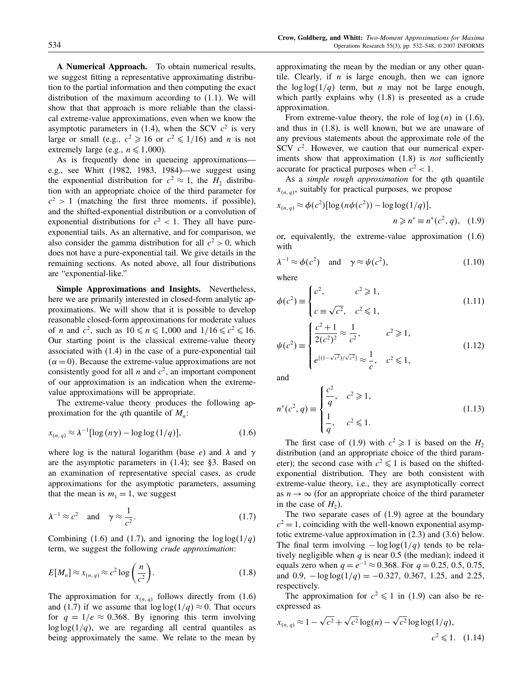A Numerical Approach. To obtain numerical results, we suggest fitting a representative approximating distribution to the partial information and then computing the exact distribution of the maximum according to (1.1). We will show that that approach is more reliable than the classical extreme-value approximations, even when we know the asymptotic parameters in (1.4), when the SCV  $c^2$  is very large or small (e.g.,  $c^2 \geq 16$  or  $c^2 \leq 1/16$ ) and *n* is not extremely large (e.g.,  $n \leq 1,000$ ).

As is frequently done in queueing approximations e.g., see Whitt (1982, 1983, 1984)—we suggest using the exponential distribution for  $c^2 \approx 1$ , the  $H_2$  distribution with an appropriate choice of the third parameter for  $c<sup>2</sup> > 1$  (matching the first three moments, if possible), and the shifted-exponential distribution or a convolution of exponential distributions for  $c^2 < 1$ . They all have pureexponential tails. As an alternative, and for comparison, we also consider the gamma distribution for all  $c^2 > 0$ , which does not have a pure-exponential tail. We give details in the remaining sections. As noted above, all four distributions are "exponential-like."

Simple Approximations and Insights. Nevertheless, here we are primarily interested in closed-form analytic approximations. We will show that it is possible to develop reasonable closed-form approximations for moderate values of *n* and  $c^2$ , such as  $10 \le n \le 1,000$  and  $1/16 \le c^2 \le 16$ . Our starting point is the classical extreme-value theory associated with (1.4) in the case of a pure-exponential tail  $(\alpha = 0)$ . Because the extreme-value approximations are not consistently good for all *n* and  $c^2$ , an important component of our approximation is an indication when the extremevalue approximations will be appropriate.

The extreme-value theory produces the following approximation for the qth quantile of  $M_n$ :

$$
x_{(n,q)} \approx \lambda^{-1} [\log (n\gamma) - \log \log (1/q)], \qquad (1.6)
$$

where log is the natural logarithm (base e) and  $\lambda$  and  $\gamma$ are the asymptotic parameters in (1.4); see §3. Based on an examination of representative special cases, as crude approximations for the asymptotic parameters, assuming that the mean is  $m_1 = 1$ , we suggest

$$
\lambda^{-1} \approx c^2 \quad \text{and} \quad \gamma \approx \frac{1}{c^2}.\tag{1.7}
$$

Combining (1.6) and (1.7), and ignoring the  $log log(1/q)$ term, we suggest the following crude approximation:

$$
E[M_n] \approx x_{(n,q)} \approx c^2 \log\left(\frac{n}{c^2}\right). \tag{1.8}
$$

The approximation for  $x_{(n,q)}$  follows directly from (1.6) and (1.7) if we assume that  $\log \log(1/q) \approx 0$ . That occurs for  $q = 1/e \approx 0.368$ . By ignoring this term involving  $log log(1/q)$ , we are regarding all central quantiles as being approximately the same. We relate to the mean by

approximating the mean by the median or any other quantile. Clearly, if  $n$  is large enough, then we can ignore the  $\log \log(1/q)$  term, but *n* may not be large enough, which partly explains why (1.8) is presented as a crude approximation.

From extreme-value theory, the role of  $log(n)$  in (1.6), and thus in (1.8), is well known, but we are unaware of any previous statements about the approximate role of the SCV  $c^2$ . However, we caution that our numerical experiments show that approximation  $(1.8)$  is *not* sufficiently accurate for practical purposes when  $c^2 < 1$ .

As a simple rough approximation for the qth quantile  $x_{(n, q)}$ , suitably for practical purposes, we propose

$$
x_{(n,q)} \approx \phi(c^2) [\log (n\psi(c^2)) - \log \log(1/q)],
$$
  

$$
n \ge n^* \equiv n^*(c^2, q), \quad (1.9)
$$

or, equivalently, the extreme-value approximation (1.6) with

$$
\lambda^{-1} \approx \phi(c^2) \quad \text{and} \quad \gamma \approx \psi(c^2), \tag{1.10}
$$

where

$$
\phi(c^2) \equiv \begin{cases} c^2, & c^2 \geqslant 1, \\ c \equiv \sqrt{c^2}, & c^2 \leqslant 1, \end{cases}
$$
\n(1.11)

$$
\psi(c^2) \equiv \begin{cases} \frac{c^2 + 1}{2(c^2)^2} \approx \frac{1}{c^2}, & c^2 \ge 1, \\ e^{\{(1 - \sqrt{c^2})/\sqrt{c^2}\}} \approx \frac{1}{c}, & c^2 \le 1, \end{cases}
$$
\n(1.12)

and

$$
n^*(c^2, q) \equiv \begin{cases} \frac{c^2}{q}, & c^2 \geq 1, \\ \frac{1}{q}, & c^2 \leq 1. \end{cases}
$$
 (1.13)

The first case of (1.9) with  $c^2 \ge 1$  is based on the  $H_2$ distribution (and an appropriate choice of the third parameter); the second case with  $c^2 \le 1$  is based on the shiftedexponential distribution. They are both consistent with extreme-value theory, i.e., they are asymptotically correct as  $n \to \infty$  (for an appropriate choice of the third parameter in the case of  $H_2$ ).

The two separate cases of (1.9) agree at the boundary  $c<sup>2</sup> = 1$ , coinciding with the well-known exponential asymptotic extreme-value approximation in (2.3) and (3.6) below. The final term involving  $-\log \log(1/q)$  tends to be relatively negligible when  $q$  is near 0.5 (the median); indeed it equals zero when  $q = e^{-1} \approx 0.368$ . For  $q = 0.25, 0.5, 0.75$ , and 0.9,  $-\log \log(1/q) = -0.327, 0.367, 1.25,$  and 2.25, respectively.

The approximation for  $c^2 \leq 1$  in (1.9) can also be reexpressed as

$$
x_{(n,q)} \approx 1 - \sqrt{c^2} + \sqrt{c^2} \log(n) - \sqrt{c^2} \log \log(1/q),
$$
  
 $c^2 \le 1.$  (1.14)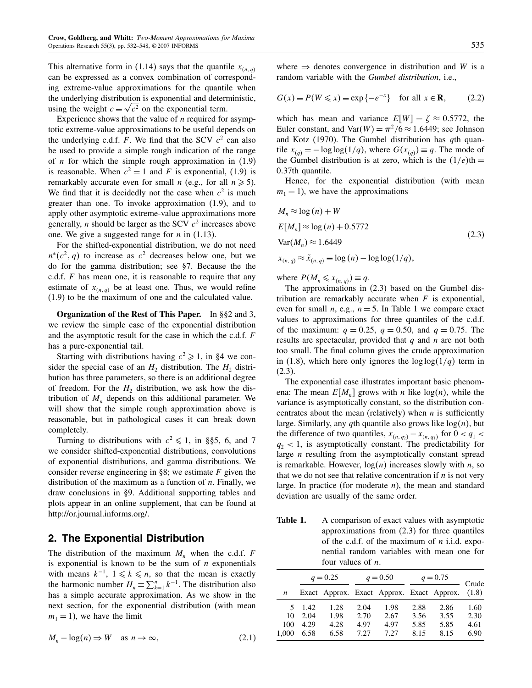This alternative form in (1.14) says that the quantile  $x_{(n, q)}$ can be expressed as a convex combination of corresponding extreme-value approximations for the quantile when the underlying distribution is exponential and deterministic, using the weight  $c \equiv \sqrt{c^2}$  on the exponential term.

Experience shows that the value of  $n$  required for asymptotic extreme-value approximations to be useful depends on the underlying c.d.f. F. We find that the SCV  $c^2$  can also be used to provide a simple rough indication of the range of *n* for which the simple rough approximation in  $(1.9)$ is reasonable. When  $c^2 = 1$  and F is exponential, (1.9) is remarkably accurate even for small *n* (e.g., for all  $n \ge 5$ ). We find that it is decidedly not the case when  $c^2$  is much greater than one. To invoke approximation (1.9), and to apply other asymptotic extreme-value approximations more generally, *n* should be larger as the SCV  $c^2$  increases above one. We give a suggested range for  $n$  in (1.13).

For the shifted-exponential distribution, we do not need  $n*(c^2, q)$  to increase as  $c^2$  decreases below one, but we do for the gamma distribution; see §7. Because the the c.d.f.  $F$  has mean one, it is reasonable to require that any estimate of  $x_{n, q}$  be at least one. Thus, we would refine (1.9) to be the maximum of one and the calculated value.

Organization of the Rest of This Paper. In §§2 and 3, we review the simple case of the exponential distribution and the asymptotic result for the case in which the c.d.f. F has a pure-exponential tail.

Starting with distributions having  $c^2 \ge 1$ , in §4 we consider the special case of an  $H_2$  distribution. The  $H_2$  distribution has three parameters, so there is an additional degree of freedom. For the  $H<sub>2</sub>$  distribution, we ask how the distribution of  $M<sub>n</sub>$  depends on this additional parameter. We will show that the simple rough approximation above is reasonable, but in pathological cases it can break down completely.

Turning to distributions with  $c^2 \leq 1$ , in §§5, 6, and 7 we consider shifted-exponential distributions, convolutions of exponential distributions, and gamma distributions. We consider reverse engineering in §8; we estimate  $F$  given the distribution of the maximum as a function of  $n$ . Finally, we draw conclusions in §9. Additional supporting tables and plots appear in an online supplement, that can be found at http://or.journal.informs.org/.

#### 2. The Exponential Distribution

The distribution of the maximum  $M_n$  when the c.d.f. F is exponential is known to be the sum of  $n$  exponentials with means  $k^{-1}$ ,  $1 \le k \le n$ , so that the mean is exactly the harmonic number  $H_n \equiv \sum_{k=1}^n k^{-1}$ . The distribution also has a simple accurate approximation. As we show in the next section, for the exponential distribution (with mean  $m_1 = 1$ , we have the limit

$$
M_n - \log(n) \Rightarrow W \quad \text{as } n \to \infty,
$$
\n(2.1)

where  $\Rightarrow$  denotes convergence in distribution and W is a random variable with the Gumbel distribution, i.e.,

$$
G(x) \equiv P(W \leq x) \equiv \exp\{-e^{-x}\} \quad \text{for all } x \in \mathbf{R},\tag{2.2}
$$

which has mean and variance  $E[W] = \zeta \approx 0.5772$ , the Euler constant, and Var(W) =  $\pi^2/6 \approx 1.6449$ ; see Johnson and Kotz (1970). The Gumbel distribution has qth quantile  $x_{(q)} = -\log \log(1/q)$ , where  $G(x_{(q)}) \equiv q$ . The mode of the Gumbel distribution is at zero, which is the  $(1/e)$ th = 0.37th quantile.

Hence, for the exponential distribution (with mean  $m_1 = 1$ , we have the approximations

$$
M_n \approx \log(n) + W
$$
  
\n
$$
E[M_n] \approx \log(n) + 0.5772
$$
  
\n
$$
Var(M_n) \approx 1.6449
$$
  
\n
$$
x_{(n,q)} \approx \tilde{x}_{(n,q)} \equiv \log(n) - \log \log(1/q),
$$
\n(2.3)

where  $P(M_n \leq x_{(n,q)}) \equiv q$ .

The approximations in (2.3) based on the Gumbel distribution are remarkably accurate when  $F$  is exponential, even for small *n*, e.g.,  $n = 5$ . In Table 1 we compare exact values to approximations for three quantiles of the c.d.f. of the maximum:  $q = 0.25$ ,  $q = 0.50$ , and  $q = 0.75$ . The results are spectacular, provided that  $q$  and  $n$  are not both too small. The final column gives the crude approximation in (1.8), which here only ignores the  $log log(1/q)$  term in  $(2.3).$ 

The exponential case illustrates important basic phenomena: The mean  $E[M_n]$  grows with *n* like  $log(n)$ , while the variance is asymptotically constant, so the distribution concentrates about the mean (relatively) when  $n$  is sufficiently large. Similarly, any qth quantile also grows like  $log(n)$ , but the difference of two quantiles,  $x_{(n, q_2)} - x_{(n, q_1)}$  for  $0 < q_1 <$  $q_2$  < 1, is asymptotically constant. The predictability for large  $n$  resulting from the asymptotically constant spread is remarkable. However,  $log(n)$  increases slowly with *n*, so that we do not see that relative concentration if  $n$  is not very large. In practice (for moderate  $n$ ), the mean and standard deviation are usually of the same order.

Table 1. A comparison of exact values with asymptotic approximations from (2.3) for three quantiles of the c.d.f. of the maximum of  $n$  i.i.d. exponential random variables with mean one for four values of  $n$ .

|       | $q = 0.25$ |                                           |      | $q = 0.50$ | $q = 0.75$ | Crude |       |
|-------|------------|-------------------------------------------|------|------------|------------|-------|-------|
| n     |            | Exact Approx. Exact Approx. Exact Approx. |      |            |            |       | (1.8) |
|       | 5 1.42     | 1.28                                      | 2.04 | 1.98       | 2.88       | 2.86  | 1.60  |
| 10    | 2.04       | 1.98                                      | 2.70 | 2.67       | 3.56       | 3.55  | 2.30  |
| 100   | 4.29       | 4.28                                      | 4.97 | 4.97       | 5.85       | 5.85  | 4.61  |
| 1.000 | 6.58       | 6.58                                      | 7.27 | 7.27       | 8.15       | 8.15  | 6.90  |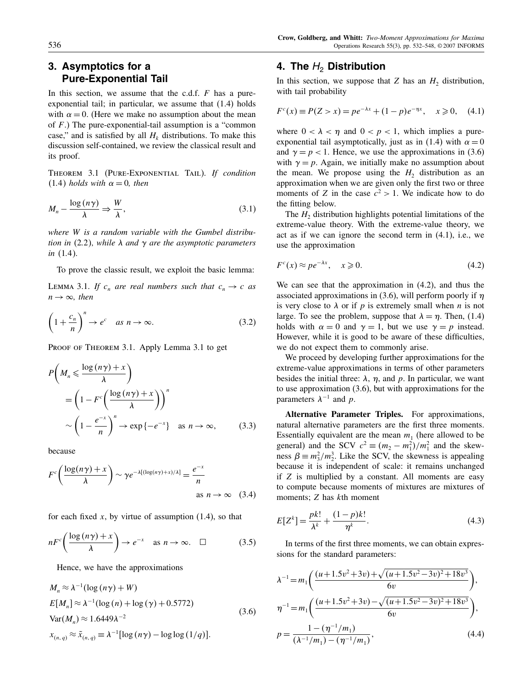# 3. Asymptotics for a Pure-Exponential Tail

In this section, we assume that the c.d.f.  $F$  has a pureexponential tail; in particular, we assume that (1.4) holds with  $\alpha = 0$ . (Here we make no assumption about the mean of  $F$ .) The pure-exponential-tail assumption is a "common case," and is satisfied by all  $H_k$  distributions. To make this discussion self-contained, we review the classical result and its proof.

THEOREM 3.1 (PURE-EXPONENTIAL TAIL). If condition  $(1.4)$  holds with  $\alpha = 0$ , then

$$
M_n - \frac{\log{(n\gamma)}}{\lambda} \Rightarrow \frac{W}{\lambda},\tag{3.1}
$$

where W is a random variable with the Gumbel distribution in (2.2), while  $\lambda$  and  $\gamma$  are the asymptotic parameters in (1.4).

To prove the classic result, we exploit the basic lemma:

LEMMA 3.1. If  $c_n$  are real numbers such that  $c_n \to c$  as  $n \rightarrow \infty$ , then

$$
\left(1 + \frac{c_n}{n}\right)^n \to e^c \quad \text{as } n \to \infty. \tag{3.2}
$$

PROOF OF THEOREM 3.1. Apply Lemma 3.1 to get

$$
P\left(M_n \leq \frac{\log{(n\gamma)} + x}{\lambda}\right)
$$
  
=  $\left(1 - F^c \left(\frac{\log{(n\gamma)} + x}{\lambda}\right)\right)^n$   
 $\sim \left(1 - \frac{e^{-x}}{n}\right)^n \to \exp\{-e^{-x}\}\text{ as } n \to \infty,$  (3.3)

because

$$
F^{c}\left(\frac{\log(n\gamma)+x}{\lambda}\right) \sim \gamma e^{-\lambda[(\log(n\gamma)+x)/\lambda]} = \frac{e^{-x}}{n}
$$
as  $n \to \infty$  (3.4)

for each fixed  $x$ , by virtue of assumption (1.4), so that

$$
nF^{c}\left(\frac{\log{(n\gamma)}+x}{\lambda}\right) \to e^{-x} \quad \text{as } n \to \infty. \quad \Box \tag{3.5}
$$

Hence, we have the approximations

$$
M_n \approx \lambda^{-1} (\log (n\gamma) + W)
$$
  
\n
$$
E[M_n] \approx \lambda^{-1} (\log (n) + \log (\gamma) + 0.5772)
$$
  
\n
$$
Var(M_n) \approx 1.6449 \lambda^{-2}
$$
  
\n
$$
x_{(n,q)} \approx \tilde{x}_{(n,q)} \equiv \lambda^{-1} [\log (n\gamma) - \log \log (1/q)].
$$
\n(3.6)

#### 4. The  $H_2$  Distribution

In this section, we suppose that  $Z$  has an  $H_2$  distribution, with tail probability

$$
F^{c}(x) \equiv P(Z > x) = p e^{-\lambda x} + (1 - p) e^{-\eta x}, \quad x \ge 0, \quad (4.1)
$$

where  $0 < \lambda < \eta$  and  $0 < p < 1$ , which implies a pureexponential tail asymptotically, just as in (1.4) with  $\alpha = 0$ and  $\gamma = p < 1$ . Hence, we use the approximations in (3.6) with  $\gamma = p$ . Again, we initially make no assumption about the mean. We propose using the  $H<sub>2</sub>$  distribution as an approximation when we are given only the first two or three moments of Z in the case  $c^2 > 1$ . We indicate how to do the fitting below.

The  $H_2$  distribution highlights potential limitations of the extreme-value theory. With the extreme-value theory, we act as if we can ignore the second term in (4.1), i.e., we use the approximation

$$
F^{c}(x) \approx p e^{-\lambda x}, \quad x \geqslant 0. \tag{4.2}
$$

We can see that the approximation in (4.2), and thus the associated approximations in (3.6), will perform poorly if  $\eta$ is very close to  $\lambda$  or if p is extremely small when n is not large. To see the problem, suppose that  $\lambda = \eta$ . Then, (1.4) holds with  $\alpha = 0$  and  $\gamma = 1$ , but we use  $\gamma = p$  instead. However, while it is good to be aware of these difficulties, we do not expect them to commonly arise.

We proceed by developing further approximations for the extreme-value approximations in terms of other parameters besides the initial three:  $\lambda$ ,  $\eta$ , and p. In particular, we want to use approximation (3.6), but with approximations for the parameters  $\lambda^{-1}$  and p.

Alternative Parameter Triples. For approximations, natural alternative parameters are the first three moments. Essentially equivalent are the mean  $m<sub>1</sub>$  (here allowed to be general) and the SCV  $c^2 \equiv (m_2 - m_1^2)/m_1^2$  and the skewness  $\beta \equiv m_3^2/m_2^3$ . Like the SCV, the skewness is appealing because it is independent of scale: it remains unchanged if Z is multiplied by a constant. All moments are easy to compute because moments of mixtures are mixtures of moments; Z has kth moment

$$
E[Z^{k}] = \frac{pk!}{\lambda^{k}} + \frac{(1-p)k!}{\eta^{k}}.
$$
\n(4.3)

In terms of the first three moments, we can obtain expressions for the standard parameters:

$$
\lambda^{-1} = m_1 \left( \frac{(u+1.5v^2+3v) + \sqrt{(u+1.5v^2-3v)^2+18v^3}}{6v} \right),
$$
  
\n
$$
\eta^{-1} = m_1 \left( \frac{(u+1.5v^2+3v) - \sqrt{(u+1.5v^2-3v)^2+18v^3}}{6v} \right),
$$
  
\n
$$
p = \frac{1 - (\eta^{-1}/m_1)}{(\lambda^{-1}/m_1) - (\eta^{-1}/m_1)},
$$
\n(4.4)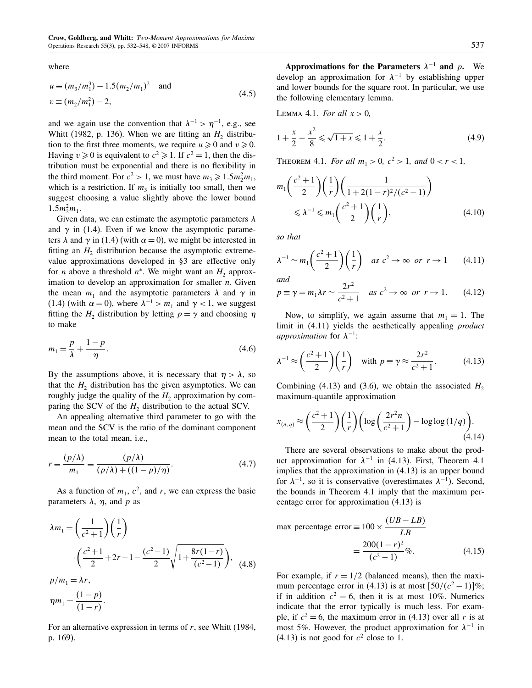where

$$
u \equiv (m_3/m_1^3) - 1.5(m_2/m_1)^2 \text{ and}
$$
  

$$
v \equiv (m_2/m_1^2) - 2,
$$
 (4.5)

and we again use the convention that  $\lambda^{-1} > \eta^{-1}$ , e.g., see Whitt (1982, p. 136). When we are fitting an  $H_2$  distribution to the first three moments, we require  $u \ge 0$  and  $v \ge 0$ . Having  $v \ge 0$  is equivalent to  $c^2 \ge 1$ . If  $c^2 = 1$ , then the distribution must be exponential and there is no flexibility in the third moment. For  $c^2 > 1$ , we must have  $m_3 \geqslant 1.5 m_2^2 m_1$ , which is a restriction. If  $m<sub>3</sub>$  is initially too small, then we suggest choosing a value slightly above the lower bound  $1.5m_2^2m_1$ .

Given data, we can estimate the asymptotic parameters  $\lambda$ and  $\gamma$  in (1.4). Even if we know the asymptotic parameters  $\lambda$  and  $\gamma$  in (1.4) (with  $\alpha = 0$ ), we might be interested in fitting an  $H_2$  distribution because the asymptotic extremevalue approximations developed in §3 are effective only for *n* above a threshold  $n^*$ . We might want an  $H_2$  approximation to develop an approximation for smaller  $n$ . Given the mean  $m_1$  and the asymptotic parameters  $\lambda$  and  $\gamma$  in (1.4) (with  $\alpha = 0$ ), where  $\lambda^{-1} > m_1$  and  $\gamma < 1$ , we suggest fitting the  $H_2$  distribution by letting  $p = \gamma$  and choosing  $\eta$ to make

$$
m_1 = \frac{p}{\lambda} + \frac{1-p}{\eta}.\tag{4.6}
$$

By the assumptions above, it is necessary that  $\eta > \lambda$ , so that the  $H_2$  distribution has the given asymptotics. We can roughly judge the quality of the  $H_2$  approximation by comparing the SCV of the  $H_2$  distribution to the actual SCV.

An appealing alternative third parameter to go with the mean and the SCV is the ratio of the dominant component mean to the total mean, i.e.,

$$
r \equiv \frac{(p/\lambda)}{m_1} \equiv \frac{(p/\lambda)}{(p/\lambda) + ((1-p)/\eta)}.
$$
\n(4.7)

As a function of  $m_1$ ,  $c^2$ , and r, we can express the basic parameters  $\lambda$ ,  $\eta$ , and p as

$$
\lambda m_1 = \left(\frac{1}{c^2 + 1}\right) \left(\frac{1}{r}\right)
$$

$$
\cdot \left(\frac{c^2 + 1}{2} + 2r - 1 - \frac{(c^2 - 1)}{2}\sqrt{1 + \frac{8r(1 - r)}{(c^2 - 1)}}\right), \quad (4.8)
$$

$$
p/m_1 = \lambda r,
$$

 $\eta m_1 = \frac{(1-p)}{(1-r)}$ .

For an alternative expression in terms of  $r$ , see Whitt (1984, p. 169).

Approximations for the Parameters  $\lambda^{-1}$  and p. We develop an approximation for  $\lambda^{-1}$  by establishing upper and lower bounds for the square root. In particular, we use the following elementary lemma.

LEMMA 4.1. For all  $x > 0$ ,

$$
1 + \frac{x}{2} - \frac{x^2}{8} \le \sqrt{1 + x} \le 1 + \frac{x}{2}.\tag{4.9}
$$

THEOREM 4.1. For all  $m_1 > 0$ ,  $c^2 > 1$ , and  $0 < r < 1$ ,

$$
m_1 \left(\frac{c^2+1}{2}\right) \left(\frac{1}{r}\right) \left(\frac{1}{1+2(1-r)^2/(c^2-1)}\right) \n\le \lambda^{-1} \le m_1 \left(\frac{c^2+1}{2}\right) \left(\frac{1}{r}\right),
$$
\n(4.10)

so that

$$
\lambda^{-1} \sim m_1 \left(\frac{c^2 + 1}{2}\right) \left(\frac{1}{r}\right) \quad \text{as } c^2 \to \infty \text{ or } r \to 1 \qquad (4.11)
$$

and

$$
p \equiv \gamma = m_1 \lambda r \sim \frac{2r^2}{c^2 + 1} \quad \text{as } c^2 \to \infty \text{ or } r \to 1. \tag{4.12}
$$

Now, to simplify, we again assume that  $m_1 = 1$ . The limit in (4.11) yields the aesthetically appealing product approximation for  $\lambda^{-1}$ :

$$
\lambda^{-1} \approx \left(\frac{c^2 + 1}{2}\right) \left(\frac{1}{r}\right) \quad \text{with } p \equiv \gamma \approx \frac{2r^2}{c^2 + 1}.\tag{4.13}
$$

Combining (4.13) and (3.6), we obtain the associated  $H_2$ maximum-quantile approximation

$$
x_{(n,q)} \approx \left(\frac{c^2+1}{2}\right) \left(\frac{1}{r}\right) \left(\log\left(\frac{2r^2n}{c^2+1}\right) - \log\log\left(\frac{1}{q}\right)\right). \tag{4.14}
$$

There are several observations to make about the product approximation for  $\lambda^{-1}$  in (4.13). First, Theorem 4.1 implies that the approximation in (4.13) is an upper bound for  $\lambda^{-1}$ , so it is conservative (overestimates  $\lambda^{-1}$ ). Second, the bounds in Theorem 4.1 imply that the maximum percentage error for approximation (4.13) is

max percentage error = 
$$
100 \times \frac{(UB - LB)}{LB}
$$
  
=  $\frac{200(1 - r)^2}{(c^2 - 1)}\%$ . (4.15)

For example, if  $r = 1/2$  (balanced means), then the maximum percentage error in (4.13) is at most  $[50/(c^2-1)]\%$ ; if in addition  $c^2 = 6$ , then it is at most 10%. Numerics indicate that the error typically is much less. For example, if  $c^2 = 6$ , the maximum error in (4.13) over all r is at most 5%. However, the product approximation for  $\lambda^{-1}$  in (4.13) is not good for  $c^2$  close to 1.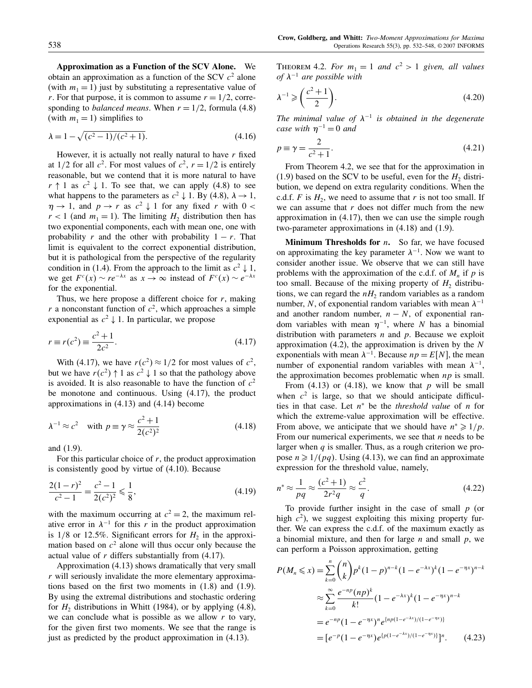Approximation as a Function of the SCV Alone. We obtain an approximation as a function of the SCV  $c<sup>2</sup>$  alone (with  $m_1 = 1$ ) just by substituting a representative value of r. For that purpose, it is common to assume  $r = 1/2$ , corresponding to *balanced means*. When  $r = 1/2$ , formula (4.8) (with  $m_1 = 1$ ) simplifies to

$$
\lambda = 1 - \sqrt{(c^2 - 1)/(c^2 + 1)}.
$$
\n(4.16)

However, it is actually not really natural to have  $r$  fixed at 1/2 for all  $c^2$ . For most values of  $c^2$ ,  $r = 1/2$  is entirely reasonable, but we contend that it is more natural to have  $r \uparrow 1$  as  $c^2 \downarrow 1$ . To see that, we can apply (4.8) to see what happens to the parameters as  $c^2 \downarrow 1$ . By (4.8),  $\lambda \rightarrow 1$ ,  $\eta \rightarrow 1$ , and  $p \rightarrow r$  as  $c^2 \downarrow 1$  for any fixed r with  $0 <$  $r < 1$  (and  $m_1 = 1$ ). The limiting  $H_2$  distribution then has two exponential components, each with mean one, one with probability r and the other with probability  $1 - r$ . That limit is equivalent to the correct exponential distribution, but it is pathological from the perspective of the regularity condition in (1.4). From the approach to the limit as  $c^2 \downarrow 1$ , we get  $F^c(x) \sim re^{-\lambda x}$  as  $x \to \infty$  instead of  $F^c(x) \sim e^{-\lambda x}$ for the exponential.

Thus, we here propose a different choice for  $r$ , making r a nonconstant function of  $c^2$ , which approaches a simple exponential as  $c^2 \downarrow 1$ . In particular, we propose

$$
r \equiv r(c^2) \equiv \frac{c^2 + 1}{2c^2}.
$$
\n(4.17)

With (4.17), we have  $r(c^2) \approx 1/2$  for most values of  $c^2$ , but we have  $r(c^2) \uparrow 1$  as  $c^2 \downarrow 1$  so that the pathology above is avoided. It is also reasonable to have the function of  $c<sup>2</sup>$ be monotone and continuous. Using (4.17), the product approximations in (4.13) and (4.14) become

$$
\lambda^{-1} \approx c^2 \quad \text{with } p \equiv \gamma \approx \frac{c^2 + 1}{2(c^2)^2} \tag{4.18}
$$

and (1.9).

For this particular choice of  $r$ , the product approximation is consistently good by virtue of (4.10). Because

$$
\frac{2(1-r)^2}{c^2 - 1} = \frac{c^2 - 1}{2(c^2)^2} \leq \frac{1}{8},\tag{4.19}
$$

with the maximum occurring at  $c^2 = 2$ , the maximum relative error in  $\lambda^{-1}$  for this r in the product approximation is  $1/8$  or 12.5%. Significant errors for  $H_2$  in the approximation based on  $c<sup>2</sup>$  alone will thus occur only because the actual value of  $r$  differs substantially from  $(4.17)$ .

Approximation (4.13) shows dramatically that very small  $r$  will seriously invalidate the more elementary approximations based on the first two moments in (1.8) and (1.9). By using the extremal distributions and stochastic ordering for  $H_2$  distributions in Whitt (1984), or by applying (4.8), we can conclude what is possible as we allow  $r$  to vary, for the given first two moments. We see that the range is just as predicted by the product approximation in (4.13).

THEOREM 4.2. For  $m_1 = 1$  and  $c^2 > 1$  given, all values of  $\lambda^{-1}$  are possible with

$$
\lambda^{-1} \geqslant \left(\frac{c^2 + 1}{2}\right). \tag{4.20}
$$

The minimal value of  $\lambda^{-1}$  is obtained in the degenerate case with  $\eta^{-1} = 0$  and

$$
p \equiv \gamma = \frac{2}{c^2 + 1}.\tag{4.21}
$$

From Theorem 4.2, we see that for the approximation in (1.9) based on the SCV to be useful, even for the  $H_2$  distribution, we depend on extra regularity conditions. When the c.d.f. F is  $H_2$ , we need to assume that r is not too small. If we can assume that  $r$  does not differ much from the new approximation in (4.17), then we can use the simple rough two-parameter approximations in (4.18) and (1.9).

**Minimum Thresholds for**  $n$ **.** So far, we have focused on approximating the key parameter  $\lambda^{-1}$ . Now we want to consider another issue. We observe that we can still have problems with the approximation of the c.d.f. of  $M_n$  if p is too small. Because of the mixing property of  $H_2$  distributions, we can regard the  $nH_2$  random variables as a random number, N, of exponential random variables with mean  $\lambda^{-1}$ and another random number,  $n - N$ , of exponential random variables with mean  $\eta^{-1}$ , where N has a binomial distribution with parameters  $n$  and  $p$ . Because we exploit approximation (4.2), the approximation is driven by the  $N$ exponentials with mean  $\lambda^{-1}$ . Because  $np = E[N]$ , the mean number of exponential random variables with mean  $\lambda^{-1}$ , the approximation becomes problematic when  $np$  is small.

From  $(4.13)$  or  $(4.18)$ , we know that p will be small when  $c<sup>2</sup>$  is large, so that we should anticipate difficulties in that case. Let  $n^*$  be the threshold value of n for which the extreme-value approximation will be effective. From above, we anticipate that we should have  $n^* \geq 1/p$ . From our numerical experiments, we see that  $n$  needs to be larger when  $q$  is smaller. Thus, as a rough criterion we propose  $n \geq 1/(pq)$ . Using (4.13), we can find an approximate expression for the threshold value, namely,

$$
n^* \approx \frac{1}{pq} \approx \frac{(c^2+1)}{2r^2q} \approx \frac{c^2}{q}.
$$
\n(4.22)

To provide further insight in the case of small  $p$  (or high  $c^2$ ), we suggest exploiting this mixing property further. We can express the c.d.f. of the maximum exactly as a binomial mixture, and then for large  $n$  and small  $p$ , we can perform a Poisson approximation, getting

$$
P(M_n \le x) = \sum_{k=0}^{n} {n \choose k} p^k (1-p)^{n-k} (1-e^{-\lambda x})^k (1-e^{-\eta x})^{n-k}
$$
  
\n
$$
\approx \sum_{k=0}^{\infty} \frac{e^{-np} (np)^k}{k!} (1-e^{-\lambda x})^k (1-e^{-\eta x})^{n-k}
$$
  
\n
$$
= e^{-np} (1-e^{-\eta x})^n e^{\{np(1-e^{-\lambda x})/(1-e^{-\eta x})\}}
$$
  
\n
$$
= [e^{-p} (1-e^{-\eta x})e^{\{p(1-e^{-\lambda x})/(1-e^{-\eta x})\}}]^n. \quad (4.23)
$$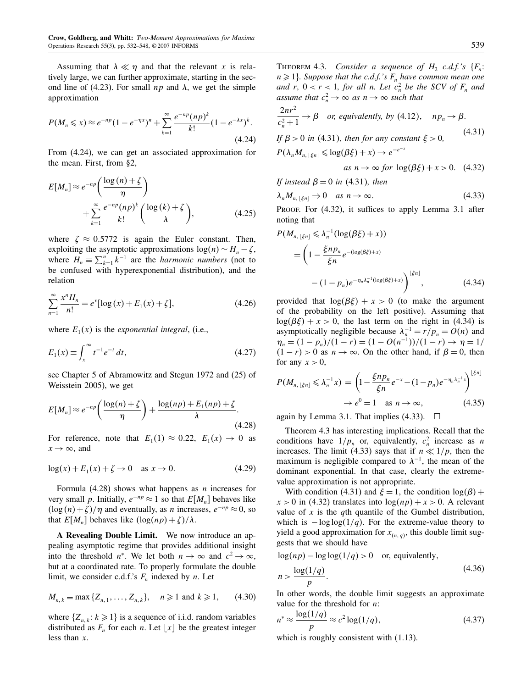Assuming that  $\lambda \ll \eta$  and that the relevant x is relatively large, we can further approximate, starting in the second line of (4.23). For small *np* and  $\lambda$ , we get the simple approximation

$$
P(M_n \leq x) \approx e^{-np} (1 - e^{-nx})^n + \sum_{k=1}^{\infty} \frac{e^{-np} (np)^k}{k!} (1 - e^{-\lambda x})^k.
$$
\n(4.24)

From (4.24), we can get an associated approximation for the mean. First, from §2,

$$
E[M_n] \approx e^{-np} \left( \frac{\log(n) + \zeta}{\eta} \right)
$$
  
 
$$
+ \sum_{k=1}^{\infty} \frac{e^{-np} (np)^k}{k!} \left( \frac{\log(k) + \zeta}{\lambda} \right), \tag{4.25}
$$

where  $\zeta \approx 0.5772$  is again the Euler constant. Then, exploiting the asymptotic approximations  $log(n) \sim H_n - \zeta$ , where  $H_n \equiv \sum_{k=1}^n k^{-1}$  are the *harmonic numbers* (not to be confused with hyperexponential distribution), and the relation

$$
\sum_{n=1}^{\infty} \frac{x^n H_n}{n!} = e^x [\log(x) + E_1(x) + \zeta], \tag{4.26}
$$

where  $E_1(x)$  is the *exponential integral*, (i.e.,

$$
E_1(x) \equiv \int_x^{\infty} t^{-1} e^{-t} \, dt,\tag{4.27}
$$

see Chapter 5 of Abramowitz and Stegun 1972 and (25) of Weisstein 2005), we get

$$
E[M_n] \approx e^{-np} \left( \frac{\log(n) + \zeta}{\eta} \right) + \frac{\log(np) + E_1(np) + \zeta}{\lambda}.
$$
\n(4.28)

For reference, note that  $E_1(1) \approx 0.22$ ,  $E_1(x) \rightarrow 0$  as  $x \rightarrow \infty$ , and

$$
log(x) + E_1(x) + \zeta \to 0
$$
 as  $x \to 0$ . (4.29)

Formula  $(4.28)$  shows what happens as *n* increases for very small p. Initially,  $e^{-np} \approx 1$  so that  $E[M_n]$  behaves like  $(\log(n) + \zeta)/\eta$  and eventually, as *n* increases,  $e^{-np} \approx 0$ , so that  $E[M_n]$  behaves like  $(\log(np) + \zeta)/\lambda$ .

A Revealing Double Limit. We now introduce an appealing asymptotic regime that provides additional insight into the threshold n<sup>∗</sup>. We let both  $n \to \infty$  and  $c^2 \to \infty$ , but at a coordinated rate. To properly formulate the double limit, we consider c.d.f.'s  $F_n$  indexed by *n*. Let

$$
M_{n,k} \equiv \max\{Z_{n,1}, \ldots, Z_{n,k}\}, \quad n \geq 1 \text{ and } k \geq 1,
$$
 (4.30)

where  $\{Z_{n,k}: k \geq 1\}$  is a sequence of i.i.d. random variables distributed as  $F_n$  for each n. Let  $\lfloor x \rfloor$  be the greatest integer less than  $x$ .

THEOREM 4.3. Consider a sequence of  $H_2$  c.d.f.'s  $\{F_n:$  $n \geq 1$ . Suppose that the c.d.f.'s  $F_n$  have common mean one and r,  $0 < r < 1$ , for all n. Let  $c_n^2$  be the SCV of  $F_n$  and assume that  $c_n^2 \to \infty$  as  $n \to \infty$  such that  $2n^2$ 

$$
\frac{2nr}{c_n^2 + 1} \to \beta \quad \text{or, equivalently, by (4.12),} \quad np_n \to \beta.
$$
\n
$$
If \beta > 0 \text{ in (4.31), then for any constant } \xi > 0,
$$
\n
$$
P(\lambda_n M_{n, \lfloor \xi n \rfloor} \leq \log(\beta \xi) + x) \to e^{-e^{-x}}
$$
\n
$$
as \ n \to \infty \text{ for } \log(\beta \xi) + x > 0. \quad (4.32)
$$

If instead 
$$
\beta = 0
$$
 in (4.31), then

$$
\lambda_n M_{n, \lfloor \xi n \rfloor} \Rightarrow 0 \quad \text{as } n \to \infty. \tag{4.33}
$$

Proof. For  $(4.32)$ , it suffices to apply Lemma 3.1 after noting that

$$
P(M_{n, \lfloor \xi n \rfloor} \leq \lambda_n^{-1} (\log(\beta \xi) + x))
$$
  
= 
$$
\left(1 - \frac{\xi n p_n}{\xi n} e^{-(\log(\beta \xi) + x)} - (1 - p_n) e^{-\eta_n \lambda_n^{-1} (\log(\beta \xi) + x)}\right)^{\lfloor \xi n \rfloor},
$$
 (4.34)

provided that  $\log(\beta \xi) + x > 0$  (to make the argument of the probability on the left positive). Assuming that  $log(\beta \xi) + x > 0$ , the last term on the right in (4.34) is asymptotically negligible because  $\lambda_n^{-1} = r/p_n = O(n)$  and  $\eta_n = (1 - p_n)/(1 - r) = (1 - O(n^{-1}))/(1 - r) \rightarrow \eta = 1/$  $(1 - r) > 0$  as  $n \to \infty$ . On the other hand, if  $\beta = 0$ , then for any  $x > 0$ ,

$$
P(M_{n, \lfloor \xi n \rfloor} \leq \lambda_n^{-1} x) = \left(1 - \frac{\xi n p_n}{\xi n} e^{-x} - (1 - p_n) e^{-\eta_n \lambda_n^{-1} x} \right)^{\lfloor \xi n \rfloor}
$$
  

$$
\rightarrow e^0 = 1 \quad \text{as } n \rightarrow \infty,
$$
 (4.35)

again by Lemma 3.1. That implies  $(4.33)$ .  $\Box$ 

Theorem 4.3 has interesting implications. Recall that the conditions have  $1/p_n$  or, equivalently,  $c_n^2$  increase as n increases. The limit (4.33) says that if  $n \ll 1/p$ , then the maximum is negligible compared to  $\lambda^{-1}$ , the mean of the dominant exponential. In that case, clearly the extremevalue approximation is not appropriate.

With condition (4.31) and  $\xi = 1$ , the condition  $\log(\beta)$  +  $x > 0$  in (4.32) translates into  $log(np) + x > 0$ . A relevant value of  $x$  is the qth quantile of the Gumbel distribution, which is  $-\log \log(1/q)$ . For the extreme-value theory to yield a good approximation for  $x_{(n,q)}$ , this double limit suggests that we should have

 $log(np) - log log(1/q) > 0$  or, equivalently,

$$
n > \frac{\log(1/q)}{p}.\tag{4.36}
$$

In other words, the double limit suggests an approximate value for the threshold for  $n$ :

$$
n^* \approx \frac{\log(1/q)}{p} \approx c^2 \log(1/q),\tag{4.37}
$$

which is roughly consistent with  $(1.13)$ .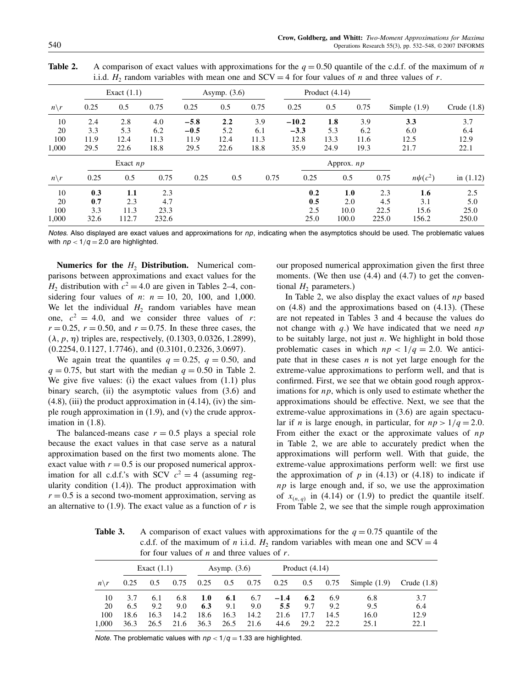|                 |      | Exact $(1.1)$ |       |        | Asymp. $(3.6)$ |      |         | Product $(4.14)$ |              |       |                |               |
|-----------------|------|---------------|-------|--------|----------------|------|---------|------------------|--------------|-------|----------------|---------------|
| $n\backslash r$ | 0.25 | 0.5           | 0.75  | 0.25   | 0.5            | 0.75 | 0.25    | 0.5              | 0.75         |       | Simple $(1.9)$ | Crude $(1.8)$ |
| 10              | 2.4  | 2.8           | 4.0   | $-5.8$ | 2.2            | 3.9  | $-10.2$ | 1.8              | 3.9          |       | 3.3            | 3.7           |
| 20              | 3.3  | 5.3           | 6.2   | $-0.5$ | 5.2            | 6.1  | $-3.3$  | 5.3              | 6.2          |       | 6.0            | 6.4           |
| 100             | 11.9 | 12.4          | 11.3  | 11.9   | 12.4           | 11.3 | 12.8    | 13.3             | 11.6         |       | 12.5           | 12.9          |
| 1,000           | 29.5 | 22.6          | 18.8  | 29.5   | 22.6           | 18.8 | 35.9    | 24.9             | 19.3         |       | 21.7           | 22.1          |
|                 |      | Exact $np$    |       |        |                |      |         |                  | Approx. $np$ |       |                |               |
| $n\backslash r$ | 0.25 | 0.5           | 0.75  | 0.25   | 0.5            | 0.75 | 0.25    |                  | 0.5          | 0.75  | $n\psi(c^2)$   | in $(1.12)$   |
| 10              | 0.3  | 1.1           | 2.3   |        |                |      | 0.2     |                  | 1.0          | 2.3   | $1.6\,$        | 2.5           |
| 20              | 0.7  | 2.3           | 4.7   |        |                |      | 0.5     |                  | 2.0          | 4.5   | 3.1            | 5.0           |
| 100             | 3.3  | 11.3          | 23.3  |        |                |      | 2.5     |                  | 10.0         | 22.5  | 15.6           | 25.0          |
| 1.000           | 32.6 | 112.7         | 232.6 |        |                |      | 25.0    |                  | 100.0        | 225.0 | 156.2          | 250.0         |

**Table 2.** A comparison of exact values with approximations for the  $q = 0.50$  quantile of the c.d.f. of the maximum of n i.i.d.  $H_2$  random variables with mean one and SCV = 4 for four values of n and three values of r.

Notes. Also displayed are exact values and approximations for np, indicating when the asymptotics should be used. The problematic values with  $np < 1/q = 2.0$  are highlighted.

Numerics for the  $H_2$  Distribution. Numerical comparisons between approximations and exact values for the  $H_2$  distribution with  $c^2 = 4.0$  are given in Tables 2–4, considering four values of *n*:  $n = 10$ , 20, 100, and 1,000. We let the individual  $H_2$  random variables have mean one,  $c^2 = 4.0$ , and we consider three values of r:  $r = 0.25$ ,  $r = 0.50$ , and  $r = 0.75$ . In these three cases, the  $(\lambda, p, \eta)$  triples are, respectively,  $(0.1303, 0.0326, 1.2899)$ ,  $(0.2254, 0.1127, 1.7746)$ , and  $(0.3101, 0.2326, 3.0697)$ .

We again treat the quantiles  $q = 0.25$ ,  $q = 0.50$ , and  $q = 0.75$ , but start with the median  $q = 0.50$  in Table 2. We give five values: (i) the exact values from  $(1.1)$  plus binary search, (ii) the asymptotic values from  $(3.6)$  and  $(4.8)$ ,  $(iii)$  the product approximation in  $(4.14)$ ,  $(iv)$  the simple rough approximation in (1.9), and (v) the crude approximation in (1.8).

The balanced-means case  $r = 0.5$  plays a special role because the exact values in that case serve as a natural approximation based on the first two moments alone. The exact value with  $r = 0.5$  is our proposed numerical approximation for all c.d.f.'s with SCV  $c^2 = 4$  (assuming regularity condition (1.4)). The product approximation with  $r = 0.5$  is a second two-moment approximation, serving as an alternative to  $(1.9)$ . The exact value as a function of r is

our proposed numerical approximation given the first three moments. (We then use  $(4.4)$  and  $(4.7)$  to get the conventional  $H_2$  parameters.)

In Table 2, we also display the exact values of  $np$  based on (4.8) and the approximations based on (4.13). (These are not repeated in Tables 3 and 4 because the values do not change with  $q$ .) We have indicated that we need  $np$ to be suitably large, not just  $n$ . We highlight in bold those problematic cases in which  $np < 1/q = 2.0$ . We anticipate that in these cases  $n$  is not yet large enough for the extreme-value approximations to perform well, and that is confirmed. First, we see that we obtain good rough approximations for  $np$ , which is only used to estimate whether the approximations should be effective. Next, we see that the extreme-value approximations in  $(3.6)$  are again spectacular if *n* is large enough, in particular, for  $np > 1/q = 2.0$ . From either the exact or the approximate values of  $np$ in Table 2, we are able to accurately predict when the approximations will perform well. With that guide, the extreme-value approximations perform well: we first use the approximation of  $p$  in (4.13) or (4.18) to indicate if  $np$  is large enough and, if so, we use the approximation of  $x_{(n,q)}$  in (4.14) or (1.9) to predict the quantile itself. From Table 2, we see that the simple rough approximation

**Table 3.** A comparison of exact values with approximations for the  $q = 0.75$  quantile of the c.d.f. of the maximum of *n* i.i.d.  $H_2$  random variables with mean one and SCV = 4 for four values of  $n$  and three values of  $r$ .

|                  | Exact $(1.1)$ |               |      | Asymp. $(3.6)$ |      | Product $(4.14)$ |        |      |      |                |               |
|------------------|---------------|---------------|------|----------------|------|------------------|--------|------|------|----------------|---------------|
| $n \backslash r$ | 0.25          | $0.5^{\circ}$ | 0.75 | 0.25           | 0.5  | 0.75             | 0.25   | 0.5  | 0.75 | Simple $(1.9)$ | Crude $(1.8)$ |
| 10               | 3.7           | 6.1           | 6.8  | 1.0            | 6.1  | 6.7              | $-1.4$ | 6.2  | 6.9  | 6.8            | 3.7           |
| 20               | 6.5           | 9.2           | 9.0  | 6.3            | 9.1  | 9.0              | 5.5    | 9.7  | 9.2  | 9.5            | 6.4           |
| 100              | 18.6          | 16.3          | 14.2 | 18.6           | 16.3 | 14.2             | 21.6   | 17.7 | 14.5 | 16.0           | 12.9          |
| 1.000            | 36.3          | 26.5          | 21.6 | 36.3           | 26.5 | 21.6             | 44.6   | 29.2 | 22.2 | 25.1           | 22.1          |

Note. The problematic values with  $np < 1/q = 1.33$  are highlighted.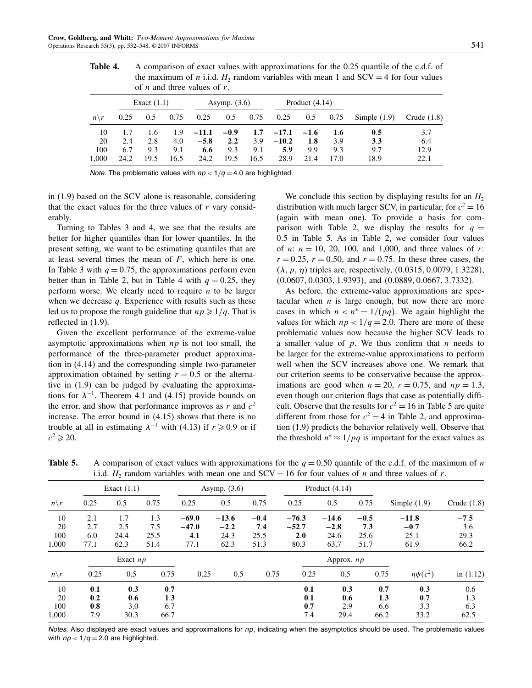| Table 4. | A comparison of exact values with approximations for the 0.25 quantile of the c.d.f. of       |
|----------|-----------------------------------------------------------------------------------------------|
|          | the maximum of <i>n</i> i.i.d. $H_2$ random variables with mean 1 and SCV = 4 for four values |
|          | of <i>n</i> and three values of <i>r</i> .                                                    |

|                  | Exact $(1.1)$ |      |      | Asymp. $(3.6)$ |               | Product $(4.14)$ |                  |               |       |                |               |
|------------------|---------------|------|------|----------------|---------------|------------------|------------------|---------------|-------|----------------|---------------|
| $n \backslash r$ | 0.25          | 0.5  | 0.75 | 0.25           | 0.5           | 0.75             | 0.25             | $0.5^{\circ}$ | 0.75  | Simple $(1.9)$ | Crude $(1.8)$ |
| 10               |               | 1.6  | 1.9  | $-11.1$        | $-0.9$        |                  | $1.7 -17.1 -1.6$ |               | - 1.6 | 0.5            | 3.7           |
| 20               | 2.4           | 2.8  | 4.0  | $-5.8$         | $2.2^{\circ}$ | 3.9              | $-10.2$          | 1.8           | 3.9   | 3.3            | 6.4           |
| 100              | 6.7           | 9.3  | 9.1  | 6.6            | 9.3           | 9.1              | 5.9              | 9.9           | 9.3   | 9.7            | 12.9          |
| 1.000            | 24.2          | 19.5 | 16.5 | 24.2           | 19.5          | 16.5             | 28.9             | 21.4          | 17.0  | 18.9           | 22.1          |

Note. The problematic values with  $np < 1/q = 4.0$  are highlighted.

in (1.9) based on the SCV alone is reasonable, considering that the exact values for the three values of  $r$  vary considerably.

Turning to Tables 3 and 4, we see that the results are better for higher quantiles than for lower quantiles. In the present setting, we want to be estimating quantiles that are at least several times the mean of  $F$ , which here is one. In Table 3 with  $q = 0.75$ , the approximations perform even better than in Table 2, but in Table 4 with  $q = 0.25$ , they perform worse. We clearly need to require  $n$  to be larger when we decrease  $q$ . Experience with results such as these led us to propose the rough guideline that  $np \geq 1/q$ . That is reflected in (1.9).

Given the excellent performance of the extreme-value asymptotic approximations when  $np$  is not too small, the performance of the three-parameter product approximation in (4.14) and the corresponding simple two-parameter approximation obtained by setting  $r = 0.5$  or the alternative in (1.9) can be judged by evaluating the approximations for  $\lambda^{-1}$ . Theorem 4.1 and (4.15) provide bounds on the error, and show that performance improves as  $r$  and  $c<sup>2</sup>$ increase. The error bound in (4.15) shows that there is no trouble at all in estimating  $\lambda^{-1}$  with (4.13) if  $r \ge 0.9$  or if  $c^2 \ge 20$ .

We conclude this section by displaying results for an  $H_2$ distribution with much larger SCV, in particular, for  $c^2 = 16$ (again with mean one). To provide a basis for comparison with Table 2, we display the results for  $q =$ 05 in Table 5. As in Table 2, we consider four values of *n*:  $n = 10, 20, 100,$  and 1,000, and three values of *r*:  $r = 0.25$ ,  $r = 0.50$ , and  $r = 0.75$ . In these three cases, the  $(\lambda, p, \eta)$  triples are, respectively,  $(0.0315, 0.0079, 1.3228)$ ,  $(0.0607, 0.0303, 1.9393)$ , and  $(0.0889, 0.0667, 3.7332)$ .

As before, the extreme-value approximations are spectacular when  $n$  is large enough, but now there are more cases in which  $n < n^* = 1/(pq)$ . We again highlight the values for which  $np < 1/q = 2.0$ . There are more of these problematic values now because the higher SCV leads to a smaller value of  $p$ . We thus confirm that  $n$  needs to be larger for the extreme-value approximations to perform well when the SCV increases above one. We remark that our criterion seems to be conservative because the approximations are good when  $n = 20$ ,  $r = 0.75$ , and  $np = 1.3$ , even though our criterion flags that case as potentially difficult. Observe that the results for  $c^2 = 16$  in Table 5 are quite different from those for  $c^2 = 4$  in Table 2, and approximation (1.9) predicts the behavior relatively well. Observe that the threshold  $n^* \approx 1/pq$  is important for the exact values as

|                  | Exact $(1.1)$ |            |      | Asymp. $(3.6)$ |         |        | Product $(4.14)$ |              |        |                |               |
|------------------|---------------|------------|------|----------------|---------|--------|------------------|--------------|--------|----------------|---------------|
| $n \backslash r$ | 0.25          | 0.5        | 0.75 | 0.25           | 0.5     | 0.75   | 0.25             | 0.5          | 0.75   | Simple $(1.9)$ | Crude $(1.8)$ |
| 10               | 2.1           | 1.7        | 1.3  | $-69.0$        | $-13.6$ | $-0.4$ | $-76.3$          | $-14.6$      | $-0.5$ | $-11.8$        | $-7.5$        |
| 20               | 2.7           | 2.5        | 7.5  | $-47.0$        | $-2.2$  | 7.4    | $-52.7$          | $-2.8$       | 7.3    | $-0.7$         | 3.6           |
| 100              | 6.0           | 24.4       | 25.5 | 4.1            | 24.3    | 25.5   | 2.0              | 24.6         | 25.6   | 25.1           | 29.3          |
| 1,000            | 77.1          | 62.3       | 51.4 | 77.1           | 62.3    | 51.3   | 80.3             | 63.7         | 51.7   | 61.9           | 66.2          |
|                  |               | Exact $np$ |      |                |         |        |                  | Approx. $np$ |        |                |               |
| $n\backslash r$  | 0.25          | 0.5        | 0.75 | 0.25           | 0.5     | 0.75   | 0.25             | 0.5          | 0.75   | $n\psi(c^2)$   | in $(1.12)$   |
|                  |               |            |      |                |         |        |                  |              |        |                |               |

**Table 5.** A comparison of exact values with approximations for the  $q = 0.50$  quantile of the c.d.f. of the maximum of n i.i.d.  $H_2$  random variables with mean one and SCV = 16 for four values of n and three values of r.

Notes. Also displayed are exact values and approximations for  $np$ , indicating when the asymptotics should be used. The problematic values with  $np < 1/q = 2.0$  are highlighted.

**0.1 0.3 0.7 0.1 0.3 0.6 0.1 0.3 0.7 0.3** 0.6 0.2 06 13 0.1 06 13 07 1.3 **0.8** 3.0 6.7 **0.7** 2.9 6.6 3.3 6.3 1,000 7.9 30.3 66.7 7.4 29.4 66.2 33.2 62.5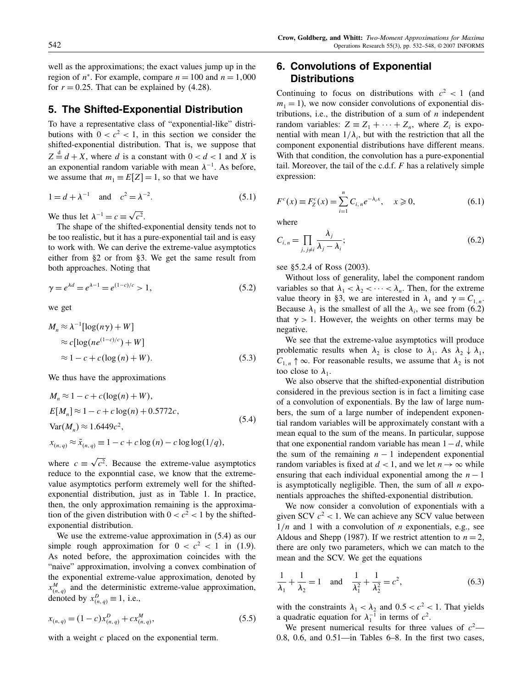well as the approximations; the exact values jump up in the region of  $n^*$ . For example, compare  $n = 100$  and  $n = 1,000$ for  $r = 0.25$ . That can be explained by (4.28).

#### 5. The Shifted-Exponential Distribution

To have a representative class of "exponential-like" distributions with  $0 < c<sup>2</sup> < 1$ , in this section we consider the shifted-exponential distribution. That is, we suppose that  $Z \stackrel{d}{=} d + X$ , where d is a constant with  $0 < d < 1$  and X is an exponential random variable with mean  $\lambda^{-1}$ . As before, we assume that  $m_1 \equiv E[Z] = 1$ , so that we have

$$
1 = d + \lambda^{-1}
$$
 and  $c^2 = \lambda^{-2}$ . (5.1)

We thus let  $\lambda^{-1} = c \equiv \sqrt{c^2}$ .

The shape of the shifted-exponential density tends not to be too realistic, but it has a pure-exponential tail and is easy to work with. We can derive the extreme-value asymptotics either from §2 or from §3. We get the same result from both approaches. Noting that

$$
\gamma = e^{\lambda d} = e^{\lambda - 1} = e^{(1 - c)/c} > 1,
$$
\n(5.2)

we get

$$
M_n \approx \lambda^{-1} [\log(n\gamma) + W]
$$
  
\n
$$
\approx c [\log(n e^{(1-c)/c}) + W]
$$
  
\n
$$
\approx 1 - c + c (\log(n) + W).
$$
 (5.3)

We thus have the approximations

$$
M_n \approx 1 - c + c(\log(n) + W),
$$
  
\n
$$
E[M_n] \approx 1 - c + c \log(n) + 0.5772c,
$$
  
\n
$$
Var(M_n) \approx 1.6449c^2,
$$
\n(5.4)

$$
x_{(n,q)} \approx \tilde{x}_{(n,q)} \equiv 1 - c + c \log(n) - c \log \log(1/q),
$$

where  $c \equiv \sqrt{c^2}$ . Because the extreme-value asymptotics reduce to the exponntial case, we know that the extremevalue asymptotics perform extremely well for the shiftedexponential distribution, just as in Table 1. In practice, then, the only approximation remaining is the approximation of the given distribution with  $0 < c<sup>2</sup> < 1$  by the shiftedexponential distribution.

We use the extreme-value approximation in (5.4) as our simple rough approximation for  $0 < c^2 < 1$  in (1.9). As noted before, the approximation coincides with the "naive" approximation, involving a convex combination of the exponential extreme-value approximation, denoted by  $x_{(n,q)}^M$  and the deterministic extreme-value approximation, denoted by  $x_{(n, q)}^D \equiv 1$ , i.e.,

$$
x_{(n,q)} = (1-c)x_{(n,q)}^D + cx_{(n,q)}^M,
$$
\n(5.5)

with a weight  $c$  placed on the exponential term.

#### 6. Convolutions of Exponential **Distributions**

Continuing to focus on distributions with  $c^2 < 1$  (and  $m_1 = 1$ , we now consider convolutions of exponential distributions, i.e., the distribution of a sum of  $n$  independent random variables:  $Z = Z_1 + \cdots + Z_n$ , where  $Z_i$  is exponential with mean  $1/\lambda_i$ , but with the restriction that all the component exponential distributions have different means. With that condition, the convolution has a pure-exponential tail. Moreover, the tail of the c.d.f.  $F$  has a relatively simple expression:

$$
F^{c}(x) \equiv F_{Z}^{c}(x) = \sum_{i=1}^{n} C_{i,n} e^{-\lambda_{i}x}, \quad x \geq 0,
$$
\n(6.1)

where

$$
C_{i,n} = \prod_{j,\,j \neq i} \frac{\lambda_j}{\lambda_j - \lambda_i};\tag{6.2}
$$

see §5.2.4 of Ross (2003).

Without loss of generality, label the component random variables so that  $\lambda_1 < \lambda_2 < \cdots < \lambda_n$ . Then, for the extreme value theory in §3, we are interested in  $\lambda_1$  and  $\gamma = C_{1,n}$ . Because  $\lambda_1$  is the smallest of all the  $\lambda_i$ , we see from (6.2) that  $\gamma > 1$ . However, the weights on other terms may be negative.

We see that the extreme-value asymptotics will produce problematic results when  $\lambda_2$  is close to  $\lambda_1$ . As  $\lambda_2 \downarrow \lambda_1$ ,  $C_{1,n} \uparrow \infty$ . For reasonable results, we assume that  $\lambda_2$  is not too close to  $\lambda_1$ .

We also observe that the shifted-exponential distribution considered in the previous section is in fact a limiting case of a convolution of exponentials. By the law of large numbers, the sum of a large number of independent exponential random variables will be approximately constant with a mean equal to the sum of the means. In particular, suppose that one exponential random variable has mean  $1-d$ , while the sum of the remaining  $n - 1$  independent exponential random variables is fixed at  $d < 1$ , and we let  $n \to \infty$  while ensuring that each individual exponential among the  $n - 1$ is asymptotically negligible. Then, the sum of all  $n$  exponentials approaches the shifted-exponential distribution.

We now consider a convolution of exponentials with a given SCV  $c^2$  < 1. We can achieve any SCV value between  $1/n$  and 1 with a convolution of *n* exponentials, e.g., see Aldous and Shepp (1987). If we restrict attention to  $n = 2$ , there are only two parameters, which we can match to the mean and the SCV. We get the equations

$$
\frac{1}{\lambda_1} + \frac{1}{\lambda_2} = 1 \quad \text{and} \quad \frac{1}{\lambda_1^2} + \frac{1}{\lambda_2^2} = c^2,\tag{6.3}
$$

with the constraints  $\lambda_1 < \lambda_2$  and  $0.5 < c^2 < 1$ . That yields a quadratic equation for  $\lambda_1^{-1}$  in terms of  $c^2$ .

We present numerical results for three values of  $c^2$ — 0.8, 0.6, and 0.51—in Tables 6–8. In the first two cases,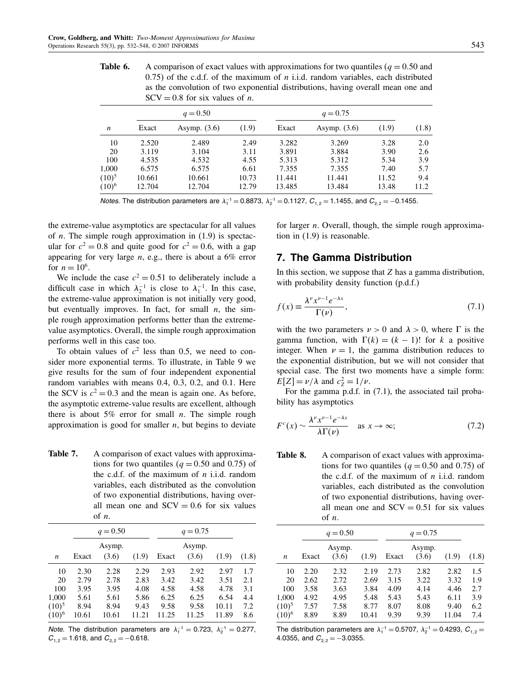**Table 6.** A comparison of exact values with approximations for two quantiles  $(q = 0.50$  and 0.75) of the c.d.f. of the maximum of *n* i.i.d. random variables, each distributed as the convolution of two exponential distributions, having overall mean one and  $SCV = 0.8$  for six values of *n*.

|                  |        | $q = 0.50$     |       |        |                |       |       |
|------------------|--------|----------------|-------|--------|----------------|-------|-------|
| $\boldsymbol{n}$ | Exact  | Asymp. $(3.6)$ | (1.9) | Exact  | Asymp. $(3.6)$ | (1.9) | (1.8) |
| 10               | 2.520  | 2.489          | 2.49  | 3.282  | 3.269          | 3.28  | 2.0   |
| 20               | 3.119  | 3.104          | 3.11  | 3.891  | 3.884          | 3.90  | 2.6   |
| 100              | 4.535  | 4.532          | 4.55  | 5.313  | 5.312          | 5.34  | 3.9   |
| 1,000            | 6.575  | 6.575          | 6.61  | 7.355  | 7.355          | 7.40  | 5.7   |
| $(10)^5$         | 10.661 | 10.661         | 10.73 | 11.441 | 11.441         | 11.52 | 9.4   |
| $(10)^6$         | 12.704 | 12.704         | 12.79 | 13.485 | 13.484         | 13.48 | 11.2  |

*Notes*. The distribution parameters are  $λ_1^{-1} = 0.8873$ ,  $λ_2^{-1} = 0.1127$ ,  $C_{1,2} = 1.1455$ , and  $C_{2,2} = -0.1455$ .

the extreme-value asymptotics are spectacular for all values of *n*. The simple rough approximation in  $(1.9)$  is spectacular for  $c^2 = 0.8$  and quite good for  $c^2 = 0.6$ , with a gap appearing for very large  $n$ , e.g., there is about a  $6\%$  error for  $n = 10^6$ .

We include the case  $c^2 = 0.51$  to deliberately include a difficult case in which  $\lambda_2^{-1}$  is close to  $\lambda_1^{-1}$ . In this case, the extreme-value approximation is not initially very good, but eventually improves. In fact, for small  $n$ , the simple rough approximation performs better than the extremevalue asymptotics. Overall, the simple rough approximation performs well in this case too.

To obtain values of  $c^2$  less than 0.5, we need to consider more exponential terms. To illustrate, in Table 9 we give results for the sum of four independent exponential random variables with means 0.4, 0.3, 0.2, and 0.1. Here the SCV is  $c^2 = 0.3$  and the mean is again one. As before, the asymptotic extreme-value results are excellent, although there is about 5% error for small *n*. The simple rough approximation is good for smaller  $n$ , but begins to deviate

Table 7. A comparison of exact values with approximations for two quantiles ( $q = 0.50$  and 0.75) of the c.d.f. of the maximum of  $n$  i.i.d. random variables, each distributed as the convolution of two exponential distributions, having overall mean one and  $SCV = 0.6$  for six values of n.

|          |       | $q = 0.50$ |       |       | $q = 0.75$ |       |       |  |  |
|----------|-------|------------|-------|-------|------------|-------|-------|--|--|
|          |       | Asymp.     |       |       | Asymp.     |       |       |  |  |
| n        | Exact | (3.6)      | (1.9) | Exact | (3.6)      | (1.9) | (1.8) |  |  |
| 10       | 2.30  | 2.28       | 2.29  | 2.93  | 2.92       | 2.97  | 1.7   |  |  |
| 20       | 2.79  | 2.78       | 2.83  | 3.42  | 3.42       | 3.51  | 2.1   |  |  |
| 100      | 3.95  | 3.95       | 4.08  | 4.58  | 4.58       | 4.78  | 3.1   |  |  |
| 1,000    | 5.61  | 5.61       | 5.86  | 6.25  | 6.25       | 6.54  | 4.4   |  |  |
| $(10)^5$ | 8.94  | 8.94       | 9.43  | 9.58  | 9.58       | 10.11 | 7.2   |  |  |
| $(10)^6$ | 10.61 | 10.61      | 11 21 | 11.25 | 11.25      | 11.89 | 8.6   |  |  |
|          |       |            |       |       |            |       |       |  |  |

*Note*. The distribution parameters are  $\lambda_1^{-1} = 0.723$ ,  $\lambda_2^{-1} = 0.277$ ,  $C_{1,2} = 1.618$ , and  $C_{2,2} = -0.618$ .

for larger  $n$ . Overall, though, the simple rough approximation in (1.9) is reasonable.

# 7. The Gamma Distribution

In this section, we suppose that  $Z$  has a gamma distribution, with probability density function (p.d.f.)

$$
f(x) \equiv \frac{\lambda^{\nu} x^{\nu - 1} e^{-\lambda x}}{\Gamma(\nu)},
$$
\n(7.1)

with the two parameters  $\nu > 0$  and  $\lambda > 0$ , where  $\Gamma$  is the gamma function, with  $\Gamma(k) = (k - 1)!$  for k a positive integer. When  $\nu = 1$ , the gamma distribution reduces to the exponential distribution, but we will not consider that special case. The first two moments have a simple form:  $E[Z] = \nu/\lambda$  and  $c_Z^2 = 1/\nu$ .

For the gamma p.d.f. in (7.1), the associated tail probability has asymptotics

$$
F^{c}(x) \sim \frac{\lambda^{\nu} x^{\nu-1} e^{-\lambda x}}{\lambda \Gamma(\nu)} \quad \text{as } x \to \infty;
$$
 (7.2)

Table 8. A comparison of exact values with approximations for two quantiles ( $q = 0.50$  and 0.75) of the c.d.f. of the maximum of  $n$  i.i.d. random variables, each distributed as the convolution of two exponential distributions, having overall mean one and  $SCV = 0.51$  for six values of n.

|                  |       | $q = 0.50$      |       |       | $q = 0.75$      |       |       |
|------------------|-------|-----------------|-------|-------|-----------------|-------|-------|
| $\boldsymbol{n}$ | Exact | Asymp.<br>(3.6) | (1.9) | Exact | Asymp.<br>(3.6) | (1.9) | (1.8) |
| 10               | 2.20  | 2.32            | 2.19  | 2.73  | 2.82            | 2.82  | 1.5   |
| 20               | 2.62  | 2.72            | 2.69  | 3.15  | 3.22            | 3.32  | 1.9   |
| 100              | 3.58  | 3.63            | 3.84  | 4.09  | 4.14            | 4.46  | 2.7   |
| 1,000            | 4.92  | 4.95            | 5.48  | 5.43  | 5.43            | 6.11  | 3.9   |
| $(10)^5$         | 7.57  | 7.58            | 8.77  | 8.07  | 8.08            | 9.40  | 6.2   |
| $(10)^6$         | 8.89  | 8.89            | 10.41 | 9.39  | 9.39            | 11.04 | 7.4   |

The distribution parameters are  $\lambda_1^{-1} = 0.5707$ ,  $\lambda_2^{-1} = 0.4293$ ,  $C_{1,2} =$ 4.0355, and  $C_{\rm 2,2}\,{=}\,{-}3.0355$ .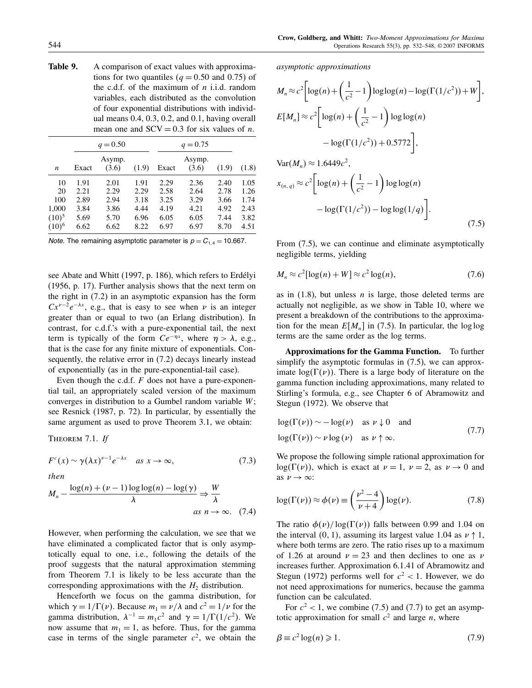Table 9. A comparison of exact values with approximations for two quantiles ( $q = 0.50$  and 0.75) of the c.d.f. of the maximum of  $n$  i.i.d. random variables, each distributed as the convolution of four exponential distributions with individual means 0.4, 0.3, 0.2, and 0.1, having overall mean one and  $SCV = 0.3$  for six values of *n*.

|          |       | $q = 0.50$      |       |       |                 |       |       |
|----------|-------|-----------------|-------|-------|-----------------|-------|-------|
| n        | Exact | Asymp.<br>(3.6) | (1.9) | Exact | Asymp.<br>(3.6) | (1.9) | (1.8) |
| 10       | 1.91  | 2.01            | 1.91  | 2.29  | 2.36            | 2.40  | 1.05  |
| 20       | 2.21  | 2.29            | 2.29  | 2.58  | 2.64            | 2.78  | 1.26  |
| 100      | 2.89  | 2.94            | 3.18  | 3.25  | 3.29            | 3.66  | 1.74  |
| 1,000    | 3.84  | 3.86            | 4.44  | 4.19  | 4.21            | 4.92  | 2.43  |
| $(10)^5$ | 5.69  | 5.70            | 6.96  | 6.05  | 6.05            | 7.44  | 3.82  |
| $(10)^6$ | 6.62  | 6.62            | 8.22  | 6.97  | 6.97            | 8.70  | 4.51  |
|          |       |                 |       |       |                 |       |       |

*Note*. The remaining asymptotic parameter is  $p = C_{1,4} = 10.667$ .

see Abate and Whitt (1997, p. 186), which refers to Erdélyi (1956, p. 17). Further analysis shows that the next term on the right in (7.2) in an asymptotic expansion has the form  $Cx^{\nu-2}e^{-\lambda x}$ , e.g., that is easy to see when  $\nu$  is an integer greater than or equal to two (an Erlang distribution). In contrast, for c.d.f.'s with a pure-exponential tail, the next term is typically of the form  $Ce^{-\eta x}$ , where  $\eta > \lambda$ , e.g., that is the case for any finite mixture of exponentials. Consequently, the relative error in (7.2) decays linearly instead of exponentially (as in the pure-exponential-tail case).

Even though the c.d.f.  $F$  does not have a pure-exponential tail, an appropriately scaled version of the maximum converges in distribution to a Gumbel random variable  $W$ ; see Resnick (1987, p. 72). In particular, by essentially the same argument as used to prove Theorem 3.1, we obtain:

THEOREM 7.1. If

$$
F^{c}(x) \sim \gamma(\lambda x)^{\nu-1} e^{-\lambda x} \quad \text{as } x \to \infty,
$$
 (7.3)

then

$$
M_n - \frac{\log(n) + (\nu - 1)\log\log(n) - \log(\gamma)}{\lambda} \Rightarrow \frac{W}{\lambda}
$$
  
as  $n \to \infty$ . (7.4)

However, when performing the calculation, we see that we have eliminated a complicated factor that is only asymptotically equal to one, i.e., following the details of the proof suggests that the natural approximation stemming from Theorem 7.1 is likely to be less accurate than the corresponding approximations with the  $H_2$  distribution.

Henceforth we focus on the gamma distribution, for which  $\gamma = 1/\Gamma(\nu)$ . Because  $m_1 = \nu/\lambda$  and  $c^2 = 1/\nu$  for the gamma distribution,  $\lambda^{-1} = m_1 c^2$  and  $\gamma = 1/\Gamma(1/c^2)$ . We now assume that  $m_1 = 1$ , as before. Thus, for the gamma case in terms of the single parameter  $c^2$ , we obtain the asymptotic approximations

$$
M_n \approx c^2 \left[ \log(n) + \left( \frac{1}{c^2} - 1 \right) \log \log(n) - \log(\Gamma(1/c^2)) + W \right],
$$
  
\n
$$
E[M_n] \approx c^2 \left[ \log(n) + \left( \frac{1}{c^2} - 1 \right) \log \log(n) - \log(\Gamma(1/c^2)) + 0.5772 \right],
$$
  
\n
$$
Var(M_n) \approx 1.6449c^2,
$$
  
\n
$$
x_{(n,q)} \approx c^2 \left[ \log(n) + \left( \frac{1}{c^2} - 1 \right) \log \log(n) - \log(\Gamma(1/c^2)) - \log \log(1/q) \right].
$$
  
\n(7.5)

From (7.5), we can continue and eliminate asymptotically negligible terms, yielding

$$
M_n \approx c^2 [\log(n) + W] \approx c^2 \log(n),\tag{7.6}
$$

as in  $(1.8)$ , but unless *n* is large, those deleted terms are actually not negligible, as we show in Table 10, where we present a breakdown of the contributions to the approximation for the mean  $E[M_n]$  in (7.5). In particular, the log log terms are the same order as the log terms.

Approximations for the Gamma Function. To further simplify the asymptotic formulas in (7.5), we can approximate  $log(\Gamma(\nu))$ . There is a large body of literature on the gamma function including approximations, many related to Stirling's formula, e.g., see Chapter 6 of Abramowitz and Stegun (1972). We observe that

$$
\log(\Gamma(\nu)) \sim -\log(\nu) \quad \text{as } \nu \downarrow 0 \quad \text{and}
$$
  

$$
\log(\Gamma(\nu)) \sim \nu \log(\nu) \quad \text{as } \nu \uparrow \infty.
$$
 (7.7)

We propose the following simple rational approximation for  $log(\Gamma(\nu))$ , which is exact at  $\nu = 1$ ,  $\nu = 2$ , as  $\nu \rightarrow 0$  and as  $\nu \rightarrow \infty$ :

$$
\log(\Gamma(\nu)) \approx \phi(\nu) \equiv \left(\frac{\nu^2 - 4}{\nu + 4}\right) \log(\nu). \tag{7.8}
$$

The ratio  $\phi(\nu) / \log(\Gamma(\nu))$  falls between 0.99 and 1.04 on the interval  $(0, 1)$ , assuming its largest value 1.04 as  $\nu \uparrow 1$ , where both terms are zero. The ratio rises up to a maximum of 1.26 at around  $\nu = 23$  and then declines to one as  $\nu$ increases further. Approximation 6.1.41 of Abramowitz and Stegun (1972) performs well for  $c^2 < 1$ . However, we do not need approximations for numerics, because the gamma function can be calculated.

For  $c^2$  < 1, we combine (7.5) and (7.7) to get an asymptotic approximation for small  $c^2$  and large *n*, where

$$
\beta \equiv c^2 \log(n) \geqslant 1. \tag{7.9}
$$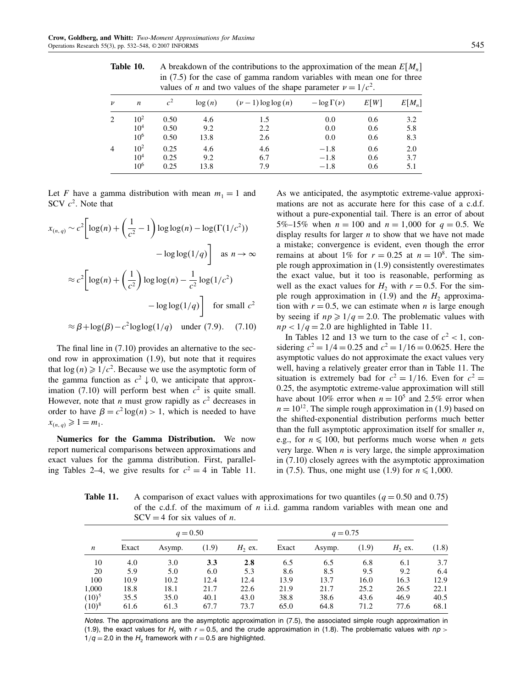|   |                 |                |        | values of <i>n</i> and two values of the shape parameter $\nu = 1/c^2$ . |                    |      |          |
|---|-----------------|----------------|--------|--------------------------------------------------------------------------|--------------------|------|----------|
| ν | n               | c <sup>2</sup> | log(n) | $(\nu-1)\log\log(n)$                                                     | $-\log\Gamma(\nu)$ | E[W] | $E[M_n]$ |
|   | $10^2$          | 0.50           | 4.6    | 1.5                                                                      | 0.0                | 0.6  | 3.2      |
|   | 10 <sup>4</sup> | 0.50           | 9.2    | 2.2                                                                      | 0.0                | 0.6  | 5.8      |
|   | 10 <sup>6</sup> | 0.50           | 13.8   | 2.6                                                                      | 0.0                | 0.6  | 8.3      |
| 4 | $10^2$          | 0.25           | 4.6    | 4.6                                                                      | $-1.8$             | 0.6  | 2.0      |
|   | 10 <sup>4</sup> | 0.25           | 9.2    | 6.7                                                                      | $-1.8$             | 0.6  | 3.7      |
|   | $10^{6}$        | 0.25           | 13.8   | 7.9                                                                      | $-1.8$             | 0.6  | 5.1      |

**Table 10.** A breakdown of the contributions to the approximation of the mean  $E[M_n]$ in (7.5) for the case of gamma random variables with mean one for three

Let F have a gamma distribution with mean  $m_1 = 1$  and SCV  $c^2$ . Note that

$$
x_{(n,q)} \sim c^2 \left[ \log(n) + \left(\frac{1}{c^2} - 1\right) \log \log(n) - \log(\Gamma(1/c^2)) -\log \log(1/q) \right] \text{ as } n \to \infty
$$
  

$$
\approx c^2 \left[ \log(n) + \left(\frac{1}{c^2}\right) \log \log(n) - \frac{1}{c^2} \log(1/c^2) -\log \log(1/q) \right] \text{ for small } c^2
$$

$$
\approx \beta + \log(\beta) - c^2 \log \log(1/q) \quad \text{under (7.9).} \quad (7.10)
$$

The final line in (7.10) provides an alternative to the second row in approximation (1.9), but note that it requires that  $\log(n) \ge 1/c^2$ . Because we use the asymptotic form of the gamma function as  $c^2 \downarrow 0$ , we anticipate that approximation (7.10) will perform best when  $c^2$  is quite small. However, note that *n* must grow rapidly as  $c^2$  decreases in order to have  $\beta = c^2 \log(n) > 1$ , which is needed to have  $x_{(n, q)} \geq 1 = m_1.$ 

Numerics for the Gamma Distribution. We now report numerical comparisons between approximations and exact values for the gamma distribution. First, paralleling Tables 2–4, we give results for  $c^2 = 4$  in Table 11. As we anticipated, the asymptotic extreme-value approximations are not as accurate here for this case of a c.d.f. without a pure-exponential tail. There is an error of about 5%–15% when  $n = 100$  and  $n = 1,000$  for  $q = 0.5$ . We display results for larger  $n$  to show that we have not made a mistake; convergence is evident, even though the error remains at about 1% for  $r = 0.25$  at  $n = 10^8$ . The simple rough approximation in (1.9) consistently overestimates the exact value, but it too is reasonable, performing as well as the exact values for  $H_2$  with  $r = 0.5$ . For the simple rough approximation in (1.9) and the  $H_2$  approximation with  $r = 0.5$ , we can estimate when *n* is large enough by seeing if  $np \geq 1/q = 2.0$ . The problematic values with  $np < 1/q = 2.0$  are highlighted in Table 11.

In Tables 12 and 13 we turn to the case of  $c^2$  < 1, considering  $c^2 = 1/4 = 0.25$  and  $c^2 = 1/16 = 0.0625$ . Here the asymptotic values do not approximate the exact values very well, having a relatively greater error than in Table 11. The situation is extremely bad for  $c^2 = 1/16$ . Even for  $c^2 =$ 025, the asymptotic extreme-value approximation will still have about 10% error when  $n = 10^5$  and 2.5% error when  $n = 10^{12}$ . The simple rough approximation in (1.9) based on the shifted-exponential distribution performs much better than the full asymptotic approximation itself for smaller  $n$ , e.g., for  $n \leq 100$ , but performs much worse when *n* gets very large. When  $n$  is very large, the simple approximation in (7.10) closely agrees with the asymptotic approximation in (7.5). Thus, one might use (1.9) for  $n \le 1,000$ .

**Table 11.** A comparison of exact values with approximations for two quantiles  $(q = 0.50 \text{ and } 0.75)$ of the c.d.f. of the maximum of  $n$  i.i.d. gamma random variables with mean one and  $SCV = 4$  for six values of *n*.

|          |       | $q = 0.50$ |       |           |       |        |       |           |       |
|----------|-------|------------|-------|-----------|-------|--------|-------|-----------|-------|
| n        | Exact | Asymp.     | (1.9) | $H_2$ ex. | Exact | Asymp. | (1.9) | $H_2$ ex. | (1.8) |
| 10       | 4.0   | 3.0        | 3.3   | 2.8       | 6.5   | 6.5    | 6.8   | 6.1       | 3.7   |
| 20       | 5.9   | 5.0        | 6.0   | 5.3       | 8.6   | 8.5    | 9.5   | 9.2       | 6.4   |
| 100      | 10.9  | 10.2       | 12.4  | 12.4      | 13.9  | 13.7   | 16.0  | 16.3      | 12.9  |
| 1,000    | 18.8  | 18.1       | 21.7  | 22.6      | 21.9  | 21.7   | 25.2  | 26.5      | 22.1  |
| $(10)^5$ | 35.5  | 35.0       | 40.1  | 43.0      | 38.8  | 38.6   | 43.6  | 46.9      | 40.5  |
| $(10)^8$ | 61.6  | 61.3       | 67.7  | 73.7      | 65.0  | 64.8   | 71.2  | 77.6      | 68.1  |

Notes. The approximations are the asymptotic approximation in (7.5), the associated simple rough approximation in (1.9), the exact values for  $H_2$  with  $r = 0.5$ , and the crude approximation in (1.8). The problematic values with  $np >$  $1/q = 2.0$  in the  $H_2$  framework with  $r = 0.5$  are highlighted.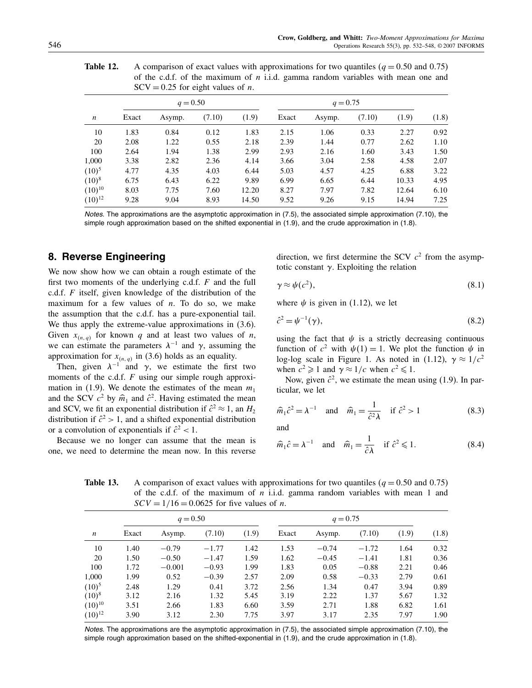| Table 12. | A comparison of exact values with approximations for two quantiles ( $q = 0.50$ and 0.75) |
|-----------|-------------------------------------------------------------------------------------------|
|           | of the c.d.f. of the maximum of $n$ i.i.d. gamma random variables with mean one and       |
|           | $SCV = 0.25$ for eight values of <i>n</i> .                                               |

|                  | $q = 0.50$ |        |        |       | $q = 0.75$ |        |        |       |       |
|------------------|------------|--------|--------|-------|------------|--------|--------|-------|-------|
| $\boldsymbol{n}$ | Exact      | Asymp. | (7.10) | (1.9) | Exact      | Asymp. | (7.10) | (1.9) | (1.8) |
| 10               | 1.83       | 0.84   | 0.12   | 1.83  | 2.15       | 1.06   | 0.33   | 2.27  | 0.92  |
| 20               | 2.08       | 1.22   | 0.55   | 2.18  | 2.39       | 1.44   | 0.77   | 2.62  | 1.10  |
| 100              | 2.64       | 1.94   | 1.38   | 2.99  | 2.93       | 2.16   | 1.60   | 3.43  | 1.50  |
| 1,000            | 3.38       | 2.82   | 2.36   | 4.14  | 3.66       | 3.04   | 2.58   | 4.58  | 2.07  |
| $(10)^5$         | 4.77       | 4.35   | 4.03   | 6.44  | 5.03       | 4.57   | 4.25   | 6.88  | 3.22  |
| $(10)^8$         | 6.75       | 6.43   | 6.22   | 9.89  | 6.99       | 6.65   | 6.44   | 10.33 | 4.95  |
| $(10)^{10}$      | 8.03       | 7.75   | 7.60   | 12.20 | 8.27       | 7.97   | 7.82   | 12.64 | 6.10  |
| $(10)^{12}$      | 9.28       | 9.04   | 8.93   | 14.50 | 9.52       | 9.26   | 9.15   | 14.94 | 7.25  |

Notes. The approximations are the asymptotic approximation in (7.5), the associated simple approximation (7.10), the simple rough approximation based on the shifted exponential in (1.9), and the crude approximation in (1.8).

### 8. Reverse Engineering

We now show how we can obtain a rough estimate of the first two moments of the underlying c.d.f.  $F$  and the full c.d.f. F itself, given knowledge of the distribution of the maximum for a few values of  $n$ . To do so, we make the assumption that the c.d.f. has a pure-exponential tail. We thus apply the extreme-value approximations in  $(3.6)$ . Given  $x_{n,q}$  for known q and at least two values of n, we can estimate the parameters  $\lambda^{-1}$  and  $\gamma$ , assuming the approximation for  $x_{(n,q)}$  in (3.6) holds as an equality.

Then, given  $\lambda^{-1}$  and  $\gamma$ , we estimate the first two moments of the c.d.f. F using our simple rough approximation in (1.9). We denote the estimates of the mean  $m_1$ and the SCV  $c^2$  by  $\hat{m}_1$  and  $\hat{c}^2$ . Having estimated the mean and SCV, we fit an exponential distribution if  $\hat{c}^2 \approx 1$ , an  $H_2$ distribution if  $\hat{c}^2 > 1$ , and a shifted exponential distribution or a convolution of exponentials if  $\hat{c}^2 < 1$ .

Because we no longer can assume that the mean is one, we need to determine the mean now. In this reverse

direction, we first determine the SCV  $c<sup>2</sup>$  from the asymptotic constant  $\gamma$ . Exploiting the relation

$$
\gamma \approx \psi(c^2),\tag{8.1}
$$

where  $\psi$  is given in (1.12), we let

$$
\hat{c}^2 = \psi^{-1}(\gamma),\tag{8.2}
$$

using the fact that  $\psi$  is a strictly decreasing continuous function of  $c^2$  with  $\psi(1) = 1$ . We plot the function  $\psi$  in log-log scale in Figure 1. As noted in (1.12),  $\gamma \approx 1/c^2$ when  $c^2 \geq 1$  and  $\gamma \approx 1/c$  when  $c^2 \leq 1$ .

Now, given  $\hat{c}^2$ , we estimate the mean using (1.9). In particular, we let

$$
\widehat{m}_1 \widehat{c}^2 = \lambda^{-1} \quad \text{and} \quad \widehat{m}_1 = \frac{1}{\widehat{c}^2 \lambda} \quad \text{if } \widehat{c}^2 > 1 \tag{8.3}
$$

and

$$
\widehat{m}_1 \widehat{c} = \lambda^{-1}
$$
 and  $\widehat{m}_1 = \frac{1}{\widehat{c}\lambda}$  if  $\widehat{c}^2 \le 1$ . (8.4)

**Table 13.** A comparison of exact values with approximations for two quantiles  $(q = 0.50 \text{ and } 0.75)$ of the c.d.f. of the maximum of  $n$  i.i.d. gamma random variables with mean 1 and  $SCV = 1/16 = 0.0625$  for five values of *n*.

| $q = 0.50$       |       |          |         | $q = 0.75$ |       |         |         |       |       |
|------------------|-------|----------|---------|------------|-------|---------|---------|-------|-------|
| $\boldsymbol{n}$ | Exact | Asymp.   | (7.10)  | (1.9)      | Exact | Asymp.  | (7.10)  | (1.9) | (1.8) |
| 10               | 1.40  | $-0.79$  | $-1.77$ | 1.42       | 1.53  | $-0.74$ | $-1.72$ | 1.64  | 0.32  |
| 20               | 1.50  | $-0.50$  | $-1.47$ | 1.59       | 1.62  | $-0.45$ | $-1.41$ | 1.81  | 0.36  |
| 100              | 1.72  | $-0.001$ | $-0.93$ | 1.99       | 1.83  | 0.05    | $-0.88$ | 2.21  | 0.46  |
| 1,000            | 1.99  | 0.52     | $-0.39$ | 2.57       | 2.09  | 0.58    | $-0.33$ | 2.79  | 0.61  |
| $(10)^5$         | 2.48  | 1.29     | 0.41    | 3.72       | 2.56  | 1.34    | 0.47    | 3.94  | 0.89  |
| $(10)^8$         | 3.12  | 2.16     | 1.32    | 5.45       | 3.19  | 2.22    | 1.37    | 5.67  | 1.32  |
| $(10)^{10}$      | 3.51  | 2.66     | 1.83    | 6.60       | 3.59  | 2.71    | 1.88    | 6.82  | 1.61  |
| $(10)^{12}$      | 3.90  | 3.12     | 2.30    | 7.75       | 3.97  | 3.17    | 2.35    | 7.97  | 1.90  |

Notes. The approximations are the asymptotic approximation in (7.5), the associated simple approximation (7.10), the simple rough approximation based on the shifted-exponential in (1.9), and the crude approximation in (1.8).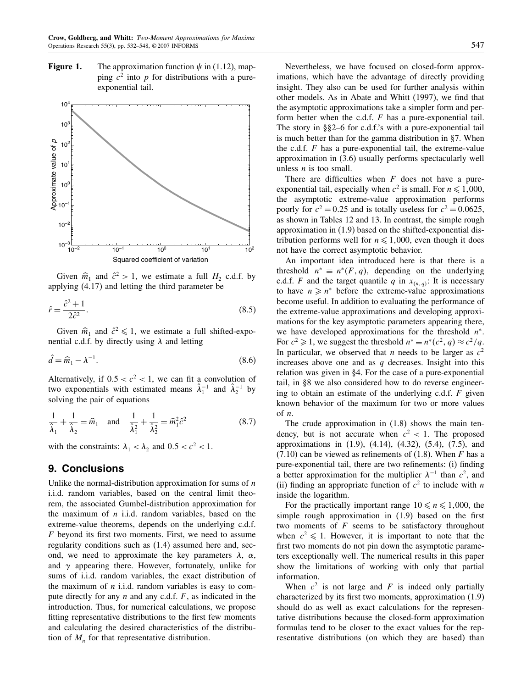**Figure 1.** The approximation function  $\psi$  in (1.12), mapping  $c^2$  into p for distributions with a pureexponential tail.



Given  $\hat{m}_1$  and  $\hat{c}^2 > 1$ , we estimate a full  $H_2$  c.d.f. by applying (4.17) and letting the third parameter be

$$
\hat{r} = \frac{\hat{c}^2 + 1}{2\hat{c}^2}.
$$
\n(8.5)

Given  $\hat{m}_1$  and  $\hat{c}^2 \le 1$ , we estimate a full shifted-exponential c.d.f. by directly using  $\lambda$  and letting

$$
\hat{d} = \hat{m}_1 - \lambda^{-1}.\tag{8.6}
$$

Alternatively, if  $0.5 < c^2 < 1$ , we can fit a convolution of two exponentials with estimated means  $\lambda_1^{-1}$  and  $\lambda_2^{-1}$  by solving the pair of equations

$$
\frac{1}{\hat{\lambda}_1} + \frac{1}{\hat{\lambda}_2} = \hat{m}_1 \quad \text{and} \quad \frac{1}{\hat{\lambda}_1^2} + \frac{1}{\hat{\lambda}_2^2} = \hat{m}_1^2 \hat{c}^2 \tag{8.7}
$$

with the constraints:  $\lambda_1 < \lambda_2$  and  $0.5 < c^2 < 1$ .

#### 9. Conclusions

Unlike the normal-distribution approximation for sums of  $n$ i.i.d. random variables, based on the central limit theorem, the associated Gumbel-distribution approximation for the maximum of  $n$  i.i.d. random variables, based on the extreme-value theorems, depends on the underlying c.d.f.  $F$  beyond its first two moments. First, we need to assume regularity conditions such as (1.4) assumed here and, second, we need to approximate the key parameters  $\lambda$ ,  $\alpha$ , and  $\gamma$  appearing there. However, fortunately, unlike for sums of i.i.d. random variables, the exact distribution of the maximum of  $n$  i.i.d. random variables is easy to compute directly for any  $n$  and any c.d.f.  $F$ , as indicated in the introduction. Thus, for numerical calculations, we propose fitting representative distributions to the first few moments and calculating the desired characteristics of the distribution of  $M_n$  for that representative distribution.

Nevertheless, we have focused on closed-form approximations, which have the advantage of directly providing insight. They also can be used for further analysis within other models. As in Abate and Whitt (1997), we find that the asymptotic approximations take a simpler form and perform better when the c.d.f.  $F$  has a pure-exponential tail. The story in §§2–6 for c.d.f.'s with a pure-exponential tail is much better than for the gamma distribution in §7. When the c.d.f.  $F$  has a pure-exponential tail, the extreme-value approximation in (3.6) usually performs spectacularly well unless  $n$  is too small.

There are difficulties when  $F$  does not have a pureexponential tail, especially when  $c^2$  is small. For  $n \leq 1,000$ , the asymptotic extreme-value approximation performs poorly for  $c^2 = 0.25$  and is totally useless for  $c^2 = 0.0625$ , as shown in Tables 12 and 13. In contrast, the simple rough approximation in (1.9) based on the shifted-exponential distribution performs well for  $n \le 1,000$ , even though it does not have the correct asymptotic behavior.

An important idea introduced here is that there is a threshold  $n^* \equiv n^*(F, q)$ , depending on the underlying c.d.f. F and the target quantile q in  $x_{(n,q)}$ : It is necessary to have  $n \geq n^*$  before the extreme-value approximations become useful. In addition to evaluating the performance of the extreme-value approximations and developing approximations for the key asymptotic parameters appearing there, we have developed approximations for the threshold  $n^*$ . For  $c^2 \geq 1$ , we suggest the threshold  $n^* \equiv n^* (c^2, q) \approx c^2/q$ . In particular, we observed that *n* needs to be larger as  $c^2$ increases above one and as  $q$  decreases. Insight into this relation was given in §4. For the case of a pure-exponential tail, in §8 we also considered how to do reverse engineering to obtain an estimate of the underlying c.d.f.  $F$  given known behavior of the maximum for two or more values of n.

The crude approximation in (1.8) shows the main tendency, but is not accurate when  $c^2 < 1$ . The proposed approximations in (1.9), (4.14), (4.32), (5.4), (7.5), and  $(7.10)$  can be viewed as refinements of  $(1.8)$ . When F has a pure-exponential tail, there are two refinements: (i) finding a better approximation for the multiplier  $\lambda^{-1}$  than  $c^2$ , and (ii) finding an appropriate function of  $c<sup>2</sup>$  to include with n inside the logarithm.

For the practically important range  $10 \le n \le 1,000$ , the simple rough approximation in (1.9) based on the first two moments of  $F$  seems to be satisfactory throughout when  $c^2 \leq 1$ . However, it is important to note that the first two moments do not pin down the asymptotic parameters exceptionally well. The numerical results in this paper show the limitations of working with only that partial information.

When  $c^2$  is not large and F is indeed only partially characterized by its first two moments, approximation (1.9) should do as well as exact calculations for the representative distributions because the closed-form approximation formulas tend to be closer to the exact values for the representative distributions (on which they are based) than